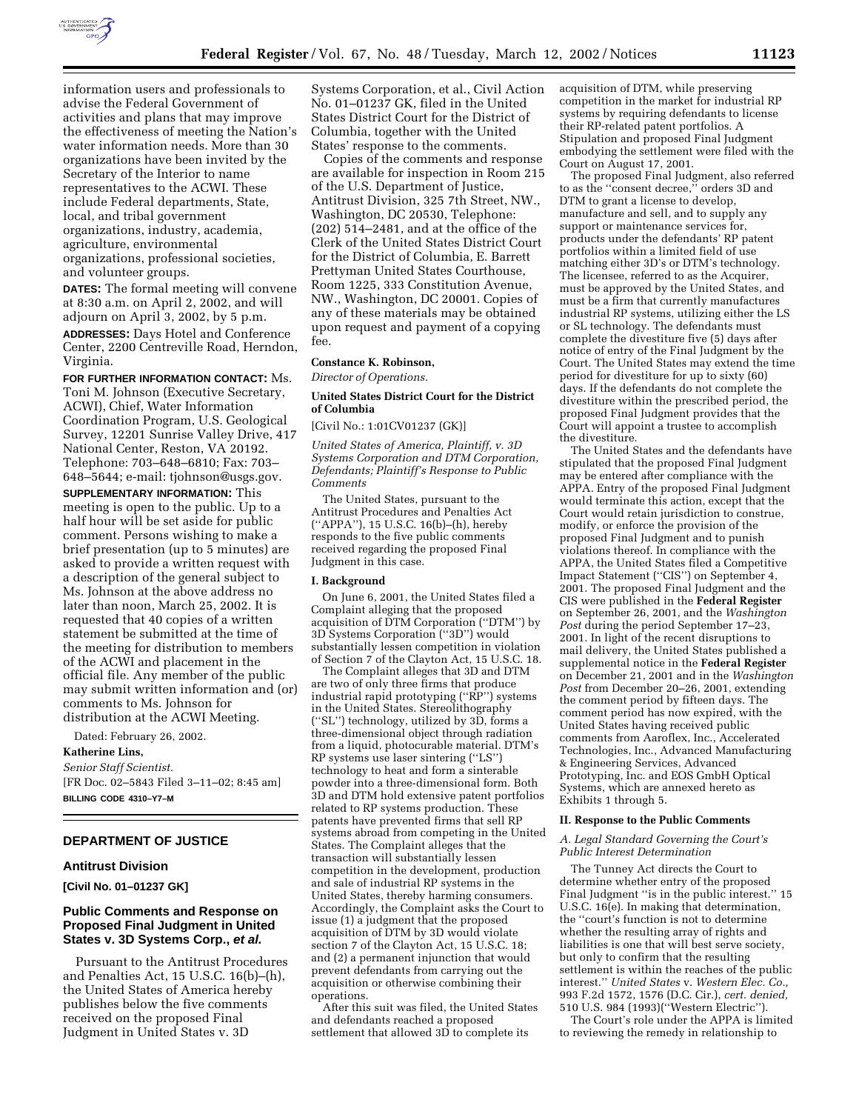

information users and professionals to advise the Federal Government of activities and plans that may improve the effectiveness of meeting the Nation's water information needs. More than 30 organizations have been invited by the Secretary of the Interior to name representatives to the ACWI. These include Federal departments, State, local, and tribal government organizations, industry, academia, agriculture, environmental organizations, professional societies, and volunteer groups.

**DATES:** The formal meeting will convene at 8:30 a.m. on April 2, 2002, and will adjourn on April 3, 2002, by 5 p.m.

**ADDRESSES:** Days Hotel and Conference Center, 2200 Centreville Road, Herndon, Virginia.

**FOR FURTHER INFORMATION CONTACT:** Ms. Toni M. Johnson (Executive Secretary, ACWI), Chief, Water Information Coordination Program, U.S. Geological Survey, 12201 Sunrise Valley Drive, 417 National Center, Reston, VA 20192. Telephone: 703–648–6810; Fax: 703– 648–5644; e-mail: tjohnson@usgs.gov.

**SUPPLEMENTARY INFORMATION:** This meeting is open to the public. Up to a half hour will be set aside for public comment. Persons wishing to make a brief presentation (up to 5 minutes) are asked to provide a written request with a description of the general subject to Ms. Johnson at the above address no later than noon, March 25, 2002. It is requested that 40 copies of a written statement be submitted at the time of the meeting for distribution to members of the ACWI and placement in the official file. Any member of the public may submit written information and (or) comments to Ms. Johnson for distribution at the ACWI Meeting.

Dated: February 26, 2002.

**Katherine Lins,**

*Senior Staff Scientist.* [FR Doc. 02–5843 Filed 3–11–02; 8:45 am] **BILLING CODE 4310–Y7–M**

# **DEPARTMENT OF JUSTICE**

# **Antitrust Division**

**[Civil No. 01–01237 GK]**

# **Public Comments and Response on Proposed Final Judgment in United States v. 3D Systems Corp., et al.**

Pursuant to the Antitrust Procedures and Penalties Act, 15 U.S.C. 16(b)–(h), the United States of America hereby publishes below the five comments received on the proposed Final Judgment in United States v. 3D

Systems Corporation, et al., Civil Action No. 01–01237 GK, filed in the United States District Court for the District of Columbia, together with the United States' response to the comments.

Copies of the comments and response are available for inspection in Room 215 of the U.S. Department of Justice, Antitrust Division, 325 7th Street, NW., Washington, DC 20530, Telephone: (202) 514–2481, and at the office of the Clerk of the United States District Court for the District of Columbia, E. Barrett Prettyman United States Courthouse, Room 1225, 333 Constitution Avenue, NW., Washington, DC 20001. Copies of any of these materials may be obtained upon request and payment of a copying fee.

# **Constance K. Robinson,**

*Director of Operations.*

# **United States District Court for the District of Columbia**

[Civil No.: 1:01CV01237 (GK)]

*United States of America, Plaintiff, v. 3D Systems Corporation and DTM Corporation, Defendants; Plaintiff's Response to Public Comments*

The United States, pursuant to the Antitrust Procedures and Penalties Act (''APPA''), 15 U.S.C. 16(b)–(h), hereby responds to the five public comments received regarding the proposed Final Judgment in this case.

## **I. Background**

On June 6, 2001, the United States filed a Complaint alleging that the proposed acquisition of DTM Corporation (''DTM'') by 3D Systems Corporation (''3D'') would substantially lessen competition in violation of Section 7 of the Clayton Act, 15 U.S.C. 18.

The Complaint alleges that 3D and DTM are two of only three firms that produce industrial rapid prototyping (''RP'') systems in the United States. Stereolithography (''SL'') technology, utilized by 3D, forms a three-dimensional object through radiation from a liquid, photocurable material. DTM's RP systems use laser sintering (''LS'') technology to heat and form a sinterable powder into a three-dimensional form. Both 3D and DTM hold extensive patent portfolios related to RP systems production. These patents have prevented firms that sell RP systems abroad from competing in the United States. The Complaint alleges that the transaction will substantially lessen competition in the development, production and sale of industrial RP systems in the United States, thereby harming consumers. Accordingly, the Complaint asks the Court to issue (1) a judgment that the proposed acquisition of DTM by 3D would violate section 7 of the Clayton Act, 15 U.S.C. 18; and (2) a permanent injunction that would prevent defendants from carrying out the acquisition or otherwise combining their operations.

After this suit was filed, the United States and defendants reached a proposed settlement that allowed  $3\overrightarrow{D}$  to complete its

acquisition of DTM, while preserving competition in the market for industrial RP systems by requiring defendants to license their RP-related patent portfolios. A Stipulation and proposed Final Judgment embodying the settlement were filed with the Court on August 17, 2001.

The proposed Final Judgment, also referred to as the ''consent decree,'' orders 3D and DTM to grant a license to develop, manufacture and sell, and to supply any support or maintenance services for, products under the defendants' RP patent portfolios within a limited field of use matching either 3D's or DTM's technology. The licensee, referred to as the Acquirer, must be approved by the United States, and must be a firm that currently manufactures industrial RP systems, utilizing either the LS or SL technology. The defendants must complete the divestiture five (5) days after notice of entry of the Final Judgment by the Court. The United States may extend the time period for divestiture for up to sixty (60) days. If the defendants do not complete the divestiture within the prescribed period, the proposed Final Judgment provides that the Court will appoint a trustee to accomplish the divestiture.

The United States and the defendants have stipulated that the proposed Final Judgment may be entered after compliance with the APPA. Entry of the proposed Final Judgment would terminate this action, except that the Court would retain jurisdiction to construe, modify, or enforce the provision of the proposed Final Judgment and to punish violations thereof. In compliance with the APPA, the United States filed a Competitive Impact Statement (''CIS'') on September 4, 2001. The proposed Final Judgment and the CIS were published in the **Federal Register** on September 26, 2001, and the *Washington Post* during the period September 17–23, 2001. In light of the recent disruptions to mail delivery, the United States published a supplemental notice in the **Federal Register** on December 21, 2001 and in the *Washington Post* from December 20–26, 2001, extending the comment period by fifteen days. The comment period has now expired, with the United States having received public comments from Aaroflex, Inc., Accelerated Technologies, Inc., Advanced Manufacturing & Engineering Services, Advanced Prototyping, Inc. and EOS GmbH Optical Systems, which are annexed hereto as Exhibits 1 through 5.

## **II. Response to the Public Comments**

## *A. Legal Standard Governing the Court's Public Interest Determination*

The Tunney Act directs the Court to determine whether entry of the proposed Final Judgment ''is in the public interest.'' 15 U.S.C. 16(e). In making that determination, the ''court's function is not to determine whether the resulting array of rights and liabilities is one that will best serve society, but only to confirm that the resulting settlement is within the reaches of the public interest.'' *United States* v. *Western Elec. Co.,* 993 F.2d 1572, 1576 (D.C. Cir.), *cert. denied,* 510 U.S. 984 (1993)(''Western Electric'').

The Court's role under the APPA is limited to reviewing the remedy in relationship to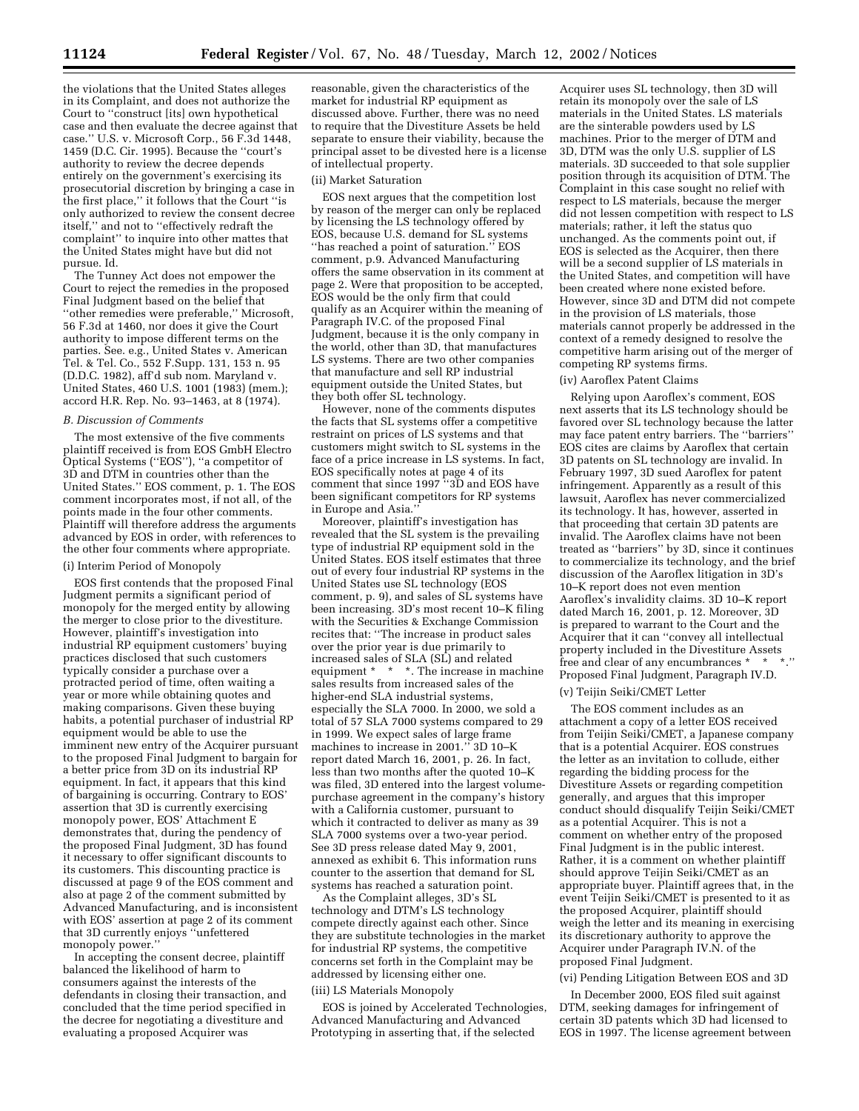the violations that the United States alleges in its Complaint, and does not authorize the Court to ''construct [its] own hypothetical case and then evaluate the decree against that case.'' U.S. v. Microsoft Corp., 56 F.3d 1448, 1459 (D.C. Cir. 1995). Because the ''court's authority to review the decree depends entirely on the government's exercising its prosecutorial discretion by bringing a case in the first place,'' it follows that the Court ''is only authorized to review the consent decree itself,'' and not to ''effectively redraft the complaint'' to inquire into other mattes that the United States might have but did not pursue. Id.

The Tunney Act does not empower the Court to reject the remedies in the proposed Final Judgment based on the belief that ''other remedies were preferable,'' Microsoft, 56 F.3d at 1460, nor does it give the Court authority to impose different terms on the parties. See. e.g., United States v. American Tel. & Tel. Co., 552 F.Supp. 131, 153 n. 95 (D.D.C. 1982), aff'd sub nom. Maryland v. United States, 460 U.S. 1001 (1983) (mem.); accord H.R. Rep. No. 93–1463, at 8 (1974).

## *B. Discussion of Comments*

The most extensive of the five comments plaintiff received is from EOS GmbH Electro Optical Systems (''EOS''), ''a competitor of 3D and DTM in countries other than the United States.'' EOS comment, p. 1. The EOS comment incorporates most, if not all, of the points made in the four other comments. Plaintiff will therefore address the arguments advanced by EOS in order, with references to the other four comments where appropriate.

## (i) Interim Period of Monopoly

EOS first contends that the proposed Final Judgment permits a significant period of monopoly for the merged entity by allowing the merger to close prior to the divestiture. However, plaintiff's investigation into industrial RP equipment customers' buying practices disclosed that such customers typically consider a purchase over a protracted period of time, often waiting a year or more while obtaining quotes and making comparisons. Given these buying habits, a potential purchaser of industrial RP equipment would be able to use the imminent new entry of the Acquirer pursuant to the proposed Final Judgment to bargain for a better price from 3D on its industrial RP equipment. In fact, it appears that this kind of bargaining is occurring. Contrary to EOS' assertion that 3D is currently exercising monopoly power, EOS' Attachment E demonstrates that, during the pendency of the proposed Final Judgment, 3D has found it necessary to offer significant discounts to its customers. This discounting practice is discussed at page 9 of the EOS comment and also at page 2 of the comment submitted by Advanced Manufacturing, and is inconsistent with EOS' assertion at page 2 of its comment that 3D currently enjoys ''unfettered monopoly power.''

In accepting the consent decree, plaintiff balanced the likelihood of harm to consumers against the interests of the defendants in closing their transaction, and concluded that the time period specified in the decree for negotiating a divestiture and evaluating a proposed Acquirer was

reasonable, given the characteristics of the market for industrial RP equipment as discussed above. Further, there was no need to require that the Divestiture Assets be held separate to ensure their viability, because the principal asset to be divested here is a license of intellectual property.

#### (ii) Market Saturation

EOS next argues that the competition lost by reason of the merger can only be replaced by licensing the LS technology offered by EOS, because U.S. demand for SL systems "has reached a point of saturation." EOS comment, p.9. Advanced Manufacturing offers the same observation in its comment at page 2. Were that proposition to be accepted, EOS would be the only firm that could qualify as an Acquirer within the meaning of Paragraph IV.C. of the proposed Final Judgment, because it is the only company in the world, other than 3D, that manufactures LS systems. There are two other companies that manufacture and sell RP industrial equipment outside the United States, but they both offer SL technology.

However, none of the comments disputes the facts that SL systems offer a competitive restraint on prices of LS systems and that customers might switch to SL systems in the face of a price increase in LS systems. In fact, EOS specifically notes at page 4 of its comment that since 1997 ''3D and EOS have been significant competitors for RP systems in Europe and Asia.''

Moreover, plaintiff's investigation has revealed that the SL system is the prevailing type of industrial RP equipment sold in the United States. EOS itself estimates that three out of every four industrial RP systems in the United States use SL technology (EOS comment, p. 9), and sales of SL systems have been increasing. 3D's most recent 10–K filing with the Securities & Exchange Commission recites that: ''The increase in product sales over the prior year is due primarily to increased sales of SLA (SL) and related equipment \* \* \*. The increase in machine sales results from increased sales of the higher-end SLA industrial systems, especially the SLA 7000. In 2000, we sold a total of 57 SLA 7000 systems compared to 29 in 1999. We expect sales of large frame machines to increase in 2001.'' 3D 10–K report dated March 16, 2001, p. 26. In fact, less than two months after the quoted 10–K was filed, 3D entered into the largest volumepurchase agreement in the company's history with a California customer, pursuant to which it contracted to deliver as many as 39 SLA 7000 systems over a two-year period. See 3D press release dated May 9, 2001, annexed as exhibit 6. This information runs counter to the assertion that demand for SL systems has reached a saturation point.

As the Complaint alleges, 3D's SL technology and DTM's LS technology compete directly against each other. Since they are substitute technologies in the market for industrial RP systems, the competitive concerns set forth in the Complaint may be addressed by licensing either one. (iii) LS Materials Monopoly

EOS is joined by Accelerated Technologies, Advanced Manufacturing and Advanced Prototyping in asserting that, if the selected

Acquirer uses SL technology, then 3D will retain its monopoly over the sale of LS materials in the United States. LS materials are the sinterable powders used by LS machines. Prior to the merger of DTM and 3D, DTM was the only U.S. supplier of LS materials. 3D succeeded to that sole supplier position through its acquisition of DTM. The Complaint in this case sought no relief with respect to LS materials, because the merger did not lessen competition with respect to LS materials; rather, it left the status quo unchanged. As the comments point out, if EOS is selected as the Acquirer, then there will be a second supplier of LS materials in the United States, and competition will have been created where none existed before. However, since 3D and DTM did not compete in the provision of LS materials, those materials cannot properly be addressed in the context of a remedy designed to resolve the competitive harm arising out of the merger of competing RP systems firms.

## (iv) Aaroflex Patent Claims

Relying upon Aaroflex's comment, EOS next asserts that its LS technology should be favored over SL technology because the latter may face patent entry barriers. The ''barriers'' EOS cites are claims by Aaroflex that certain 3D patents on SL technology are invalid. In February 1997, 3D sued Aaroflex for patent infringement. Apparently as a result of this lawsuit, Aaroflex has never commercialized its technology. It has, however, asserted in that proceeding that certain 3D patents are invalid. The Aaroflex claims have not been treated as ''barriers'' by 3D, since it continues to commercialize its technology, and the brief discussion of the Aaroflex litigation in 3D's 10–K report does not even mention Aaroflex's invalidity claims. 3D 10–K report dated March 16, 2001, p. 12. Moreover, 3D is prepared to warrant to the Court and the Acquirer that it can ''convey all intellectual property included in the Divestiture Assets free and clear of any encumbrances \* \* Proposed Final Judgment, Paragraph IV.D.

# (v) Teijin Seiki/CMET Letter

The EOS comment includes as an attachment a copy of a letter EOS received from Teijin Seiki/CMET, a Japanese company that is a potential Acquirer. EOS construes the letter as an invitation to collude, either regarding the bidding process for the Divestiture Assets or regarding competition generally, and argues that this improper conduct should disqualify Teijin Seiki/CMET as a potential Acquirer. This is not a comment on whether entry of the proposed Final Judgment is in the public interest. Rather, it is a comment on whether plaintiff should approve Teijin Seiki/CMET as an appropriate buyer. Plaintiff agrees that, in the event Teijin Seiki/CMET is presented to it as the proposed Acquirer, plaintiff should weigh the letter and its meaning in exercising its discretionary authority to approve the Acquirer under Paragraph IV.N. of the proposed Final Judgment.

# (vi) Pending Litigation Between EOS and 3D

In December 2000, EOS filed suit against DTM, seeking damages for infringement of certain 3D patents which 3D had licensed to EOS in 1997. The license agreement between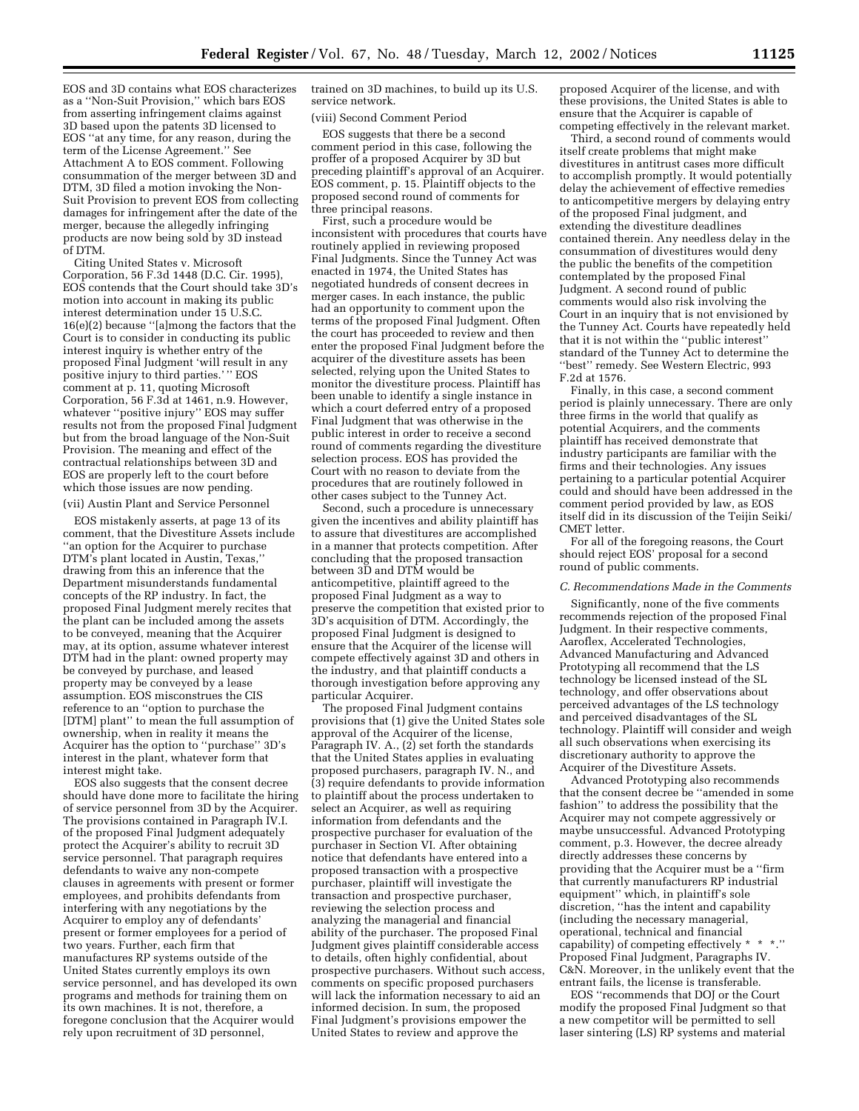EOS and 3D contains what EOS characterizes as a ''Non-Suit Provision,'' which bars EOS from asserting infringement claims against 3D based upon the patents 3D licensed to EOS ''at any time, for any reason, during the term of the License Agreement.'' See Attachment A to EOS comment. Following consummation of the merger between 3D and DTM, 3D filed a motion invoking the Non-Suit Provision to prevent EOS from collecting damages for infringement after the date of the merger, because the allegedly infringing products are now being sold by 3D instead of DTM.

Citing United States v. Microsoft Corporation, 56 F.3d 1448 (D.C. Cir. 1995), EOS contends that the Court should take 3D's motion into account in making its public interest determination under 15 U.S.C. 16(e)(2) because ''[a]mong the factors that the Court is to consider in conducting its public interest inquiry is whether entry of the proposed Final Judgment 'will result in any positive injury to third parties.'" EOS comment at p. 11, quoting Microsoft Corporation, 56 F.3d at 1461, n.9. However, whatever ''positive injury'' EOS may suffer results not from the proposed Final Judgment but from the broad language of the Non-Suit Provision. The meaning and effect of the contractual relationships between 3D and EOS are properly left to the court before which those issues are now pending.

(vii) Austin Plant and Service Personnel

EOS mistakenly asserts, at page 13 of its comment, that the Divestiture Assets include 'an option for the Acquirer to purchase DTM's plant located in Austin, Texas,'' drawing from this an inference that the Department misunderstands fundamental concepts of the RP industry. In fact, the proposed Final Judgment merely recites that the plant can be included among the assets to be conveyed, meaning that the Acquirer may, at its option, assume whatever interest DTM had in the plant: owned property may be conveyed by purchase, and leased property may be conveyed by a lease assumption. EOS misconstrues the CIS reference to an ''option to purchase the [DTM] plant'' to mean the full assumption of ownership, when in reality it means the Acquirer has the option to ''purchase'' 3D's interest in the plant, whatever form that interest might take.

EOS also suggests that the consent decree should have done more to facilitate the hiring of service personnel from 3D by the Acquirer. The provisions contained in Paragraph IV.I. of the proposed Final Judgment adequately protect the Acquirer's ability to recruit 3D service personnel. That paragraph requires defendants to waive any non-compete clauses in agreements with present or former employees, and prohibits defendants from interfering with any negotiations by the Acquirer to employ any of defendants' present or former employees for a period of two years. Further, each firm that manufactures RP systems outside of the United States currently employs its own service personnel, and has developed its own programs and methods for training them on its own machines. It is not, therefore, a foregone conclusion that the Acquirer would rely upon recruitment of 3D personnel,

trained on 3D machines, to build up its U.S. service network.

(viii) Second Comment Period

EOS suggests that there be a second comment period in this case, following the proffer of a proposed Acquirer by 3D but preceding plaintiff's approval of an Acquirer. EOS comment, p. 15. Plaintiff objects to the proposed second round of comments for three principal reasons.

First, such a procedure would be inconsistent with procedures that courts have routinely applied in reviewing proposed Final Judgments. Since the Tunney Act was enacted in 1974, the United States has negotiated hundreds of consent decrees in merger cases. In each instance, the public had an opportunity to comment upon the terms of the proposed Final Judgment. Often the court has proceeded to review and then enter the proposed Final Judgment before the acquirer of the divestiture assets has been selected, relying upon the United States to monitor the divestiture process. Plaintiff has been unable to identify a single instance in which a court deferred entry of a proposed Final Judgment that was otherwise in the public interest in order to receive a second round of comments regarding the divestiture selection process. EOS has provided the Court with no reason to deviate from the procedures that are routinely followed in other cases subject to the Tunney Act.

Second, such a procedure is unnecessary given the incentives and ability plaintiff has to assure that divestitures are accomplished in a manner that protects competition. After concluding that the proposed transaction between  $3\bar{D}$  and DTM would be anticompetitive, plaintiff agreed to the proposed Final Judgment as a way to preserve the competition that existed prior to 3D's acquisition of DTM. Accordingly, the proposed Final Judgment is designed to ensure that the Acquirer of the license will compete effectively against 3D and others in the industry, and that plaintiff conducts a thorough investigation before approving any particular Acquirer.

The proposed Final Judgment contains provisions that (1) give the United States sole approval of the Acquirer of the license, Paragraph IV. A., (2) set forth the standards that the United States applies in evaluating proposed purchasers, paragraph IV. N., and (3) require defendants to provide information to plaintiff about the process undertaken to select an Acquirer, as well as requiring information from defendants and the prospective purchaser for evaluation of the purchaser in Section VI. After obtaining notice that defendants have entered into a proposed transaction with a prospective purchaser, plaintiff will investigate the transaction and prospective purchaser, reviewing the selection process and analyzing the managerial and financial ability of the purchaser. The proposed Final Judgment gives plaintiff considerable access to details, often highly confidential, about prospective purchasers. Without such access, comments on specific proposed purchasers will lack the information necessary to aid an informed decision. In sum, the proposed Final Judgment's provisions empower the United States to review and approve the

proposed Acquirer of the license, and with these provisions, the United States is able to ensure that the Acquirer is capable of competing effectively in the relevant market.

Third, a second round of comments would itself create problems that might make divestitures in antitrust cases more difficult to accomplish promptly. It would potentially delay the achievement of effective remedies to anticompetitive mergers by delaying entry of the proposed Final judgment, and extending the divestiture deadlines contained therein. Any needless delay in the consummation of divestitures would deny the public the benefits of the competition contemplated by the proposed Final Judgment. A second round of public comments would also risk involving the Court in an inquiry that is not envisioned by the Tunney Act. Courts have repeatedly held that it is not within the ''public interest'' standard of the Tunney Act to determine the ''best'' remedy. See Western Electric, 993 F.2d at 1576.

Finally, in this case, a second comment period is plainly unnecessary. There are only three firms in the world that qualify as potential Acquirers, and the comments plaintiff has received demonstrate that industry participants are familiar with the firms and their technologies. Any issues pertaining to a particular potential Acquirer could and should have been addressed in the comment period provided by law, as EOS itself did in its discussion of the Teijin Seiki/ CMET letter.

For all of the foregoing reasons, the Court should reject EOS' proposal for a second round of public comments.

## *C. Recommendations Made in the Comments*

Significantly, none of the five comments recommends rejection of the proposed Final Judgment. In their respective comments, Aaroflex, Accelerated Technologies, Advanced Manufacturing and Advanced Prototyping all recommend that the LS technology be licensed instead of the SL technology, and offer observations about perceived advantages of the LS technology and perceived disadvantages of the SL technology. Plaintiff will consider and weigh all such observations when exercising its discretionary authority to approve the Acquirer of the Divestiture Assets.

Advanced Prototyping also recommends that the consent decree be ''amended in some fashion'' to address the possibility that the Acquirer may not compete aggressively or maybe unsuccessful. Advanced Prototyping comment, p.3. However, the decree already directly addresses these concerns by providing that the Acquirer must be a ''firm that currently manufacturers RP industrial equipment'' which, in plaintiff's sole discretion, ''has the intent and capability (including the necessary managerial, operational, technical and financial capability) of competing effectively \* \* \*.'' Proposed Final Judgment, Paragraphs IV. C&N. Moreover, in the unlikely event that the entrant fails, the license is transferable.

EOS ''recommends that DOJ or the Court modify the proposed Final Judgment so that a new competitor will be permitted to sell laser sintering (LS) RP systems and material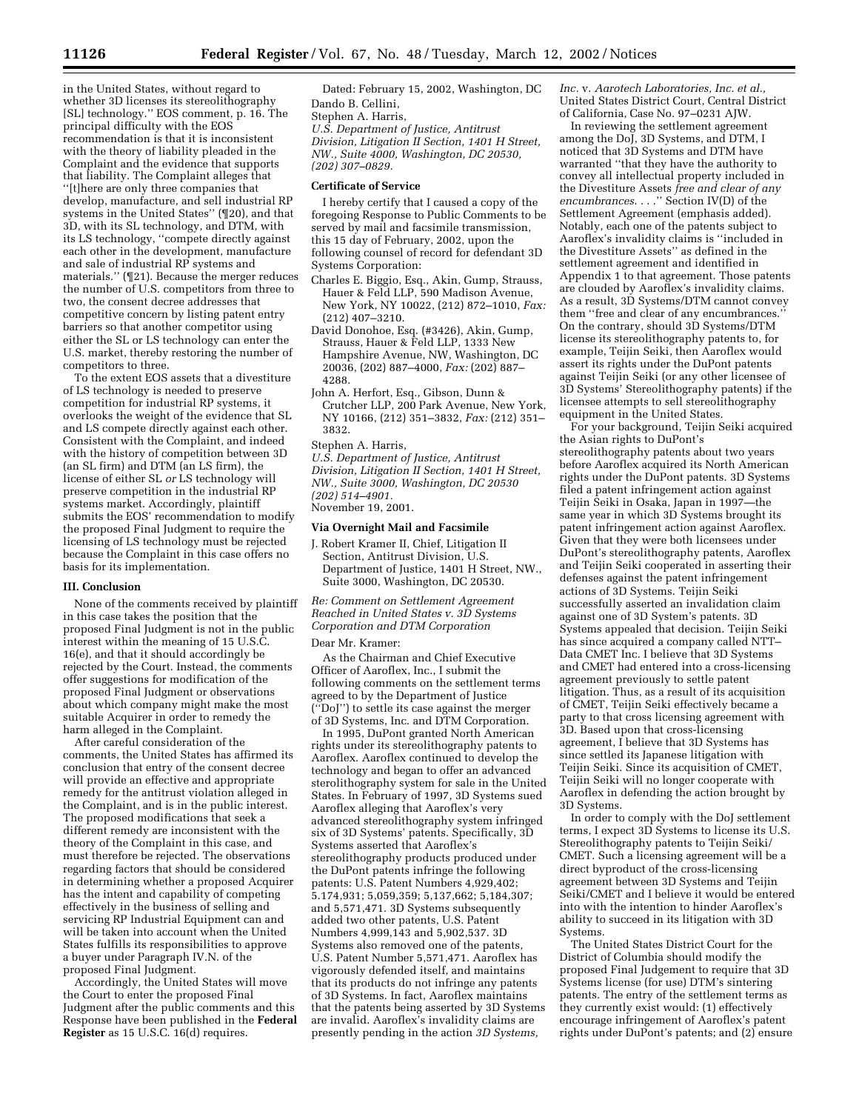in the United States, without regard to whether 3D licenses its stereolithography [SL] technology.'' EOS comment, p. 16. The principal difficulty with the EOS recommendation is that it is inconsistent with the theory of liability pleaded in the Complaint and the evidence that supports that liability. The Complaint alleges that ''[t]here are only three companies that develop, manufacture, and sell industrial RP systems in the United States'' (¶20), and that 3D, with its SL technology, and DTM, with its LS technology, ''compete directly against each other in the development, manufacture and sale of industrial RP systems and materials.'' (¶21). Because the merger reduces the number of U.S. competitors from three to two, the consent decree addresses that competitive concern by listing patent entry barriers so that another competitor using either the SL or LS technology can enter the U.S. market, thereby restoring the number of competitors to three.

To the extent EOS assets that a divestiture of LS technology is needed to preserve competition for industrial RP systems, it overlooks the weight of the evidence that SL and LS compete directly against each other. Consistent with the Complaint, and indeed with the history of competition between 3D (an SL firm) and DTM (an LS firm), the license of either SL *or* LS technology will preserve competition in the industrial RP systems market. Accordingly, plaintiff submits the EOS' recommendation to modify the proposed Final Judgment to require the licensing of LS technology must be rejected because the Complaint in this case offers no basis for its implementation.

## **III. Conclusion**

None of the comments received by plaintiff in this case takes the position that the proposed Final Judgment is not in the public interest within the meaning of 15 U.S.C. 16(e), and that it should accordingly be rejected by the Court. Instead, the comments offer suggestions for modification of the proposed Final Judgment or observations about which company might make the most suitable Acquirer in order to remedy the harm alleged in the Complaint.

After careful consideration of the comments, the United States has affirmed its conclusion that entry of the consent decree will provide an effective and appropriate remedy for the antitrust violation alleged in the Complaint, and is in the public interest. The proposed modifications that seek a different remedy are inconsistent with the theory of the Complaint in this case, and must therefore be rejected. The observations regarding factors that should be considered in determining whether a proposed Acquirer has the intent and capability of competing effectively in the business of selling and servicing RP Industrial Equipment can and will be taken into account when the United States fulfills its responsibilities to approve a buyer under Paragraph IV.N. of the proposed Final Judgment.

Accordingly, the United States will move the Court to enter the proposed Final Judgment after the public comments and this Response have been published in the **Federal Register** as 15 U.S.C. 16(d) requires.

Dated: February 15, 2002, Washington, DC Dando B. Cellini,

Stephen A. Harris,

*U.S. Department of Justice, Antitrust Division, Litigation II Section, 1401 H Street, NW., Suite 4000, Washington, DC 20530, (202) 307–0829.*

# **Certificate of Service**

I hereby certify that I caused a copy of the foregoing Response to Public Comments to be served by mail and facsimile transmission, this 15 day of February, 2002, upon the following counsel of record for defendant 3D Systems Corporation:

- Charles E. Biggio, Esq., Akin, Gump, Strauss, Hauer & Feld LLP, 590 Madison Avenue, New York, NY 10022, (212) 872–1010, *Fax:* (212) 407–3210.
- David Donohoe, Esq. (#3426), Akin, Gump, Strauss, Hauer & Feld LLP, 1333 New Hampshire Avenue, NW, Washington, DC 20036, (202) 887–4000, *Fax:* (202) 887– 4288.
- John A. Herfort, Esq., Gibson, Dunn & Crutcher LLP, 200 Park Avenue, New York, NY 10166, (212) 351–3832, *Fax:* (212) 351– 3832.
- Stephen A. Harris,

*U.S. Department of Justice, Antitrust Division, Litigation II Section, 1401 H Street, NW., Suite 3000, Washington, DC 20530 (202) 514–4901.* November 19, 2001.

## **Via Overnight Mail and Facsimile**

J. Robert Kramer II, Chief, Litigation II Section, Antitrust Division, U.S. Department of Justice, 1401 H Street, NW., Suite 3000, Washington, DC 20530.

*Re: Comment on Settlement Agreement Reached in United States v. 3D Systems Corporation and DTM Corporation*

#### Dear Mr. Kramer:

As the Chairman and Chief Executive Officer of Aaroflex, Inc., I submit the following comments on the settlement terms agreed to by the Department of Justice (''DoJ'') to settle its case against the merger of 3D Systems, Inc. and DTM Corporation.

In 1995, DuPont granted North American rights under its stereolithography patents to Aaroflex. Aaroflex continued to develop the technology and began to offer an advanced sterolithography system for sale in the United States. In February of 1997, 3D Systems sued Aaroflex alleging that Aaroflex's very advanced stereolithography system infringed six of 3D Systems' patents. Specifically, 3D Systems asserted that Aaroflex's stereolithography products produced under the DuPont patents infringe the following patents: U.S. Patent Numbers 4,929,402; 5.174,931; 5,059,359; 5,137,662; 5,184,307; and 5,571,471. 3D Systems subsequently added two other patents, U.S. Patent Numbers 4,999,143 and 5,902,537. 3D Systems also removed one of the patents, U.S. Patent Number 5,571,471. Aaroflex has vigorously defended itself, and maintains that its products do not infringe any patents of 3D Systems. In fact, Aaroflex maintains that the patents being asserted by 3D Systems are invalid. Aaroflex's invalidity claims are presently pending in the action *3D Systems,*

*Inc.* v. *Aarotech Laboratories, Inc. et al.,* United States District Court, Central District of California, Case No. 97–0231 AJW.

In reviewing the settlement agreement among the DoJ, 3D Systems, and DTM, I noticed that 3D Systems and DTM have warranted ''that they have the authority to convey all intellectual property included in the Divestiture Assets *free and clear of any encumbrances*. . . .'' Section IV(D) of the Settlement Agreement (emphasis added). Notably, each one of the patents subject to Aaroflex's invalidity claims is ''included in the Divestiture Assets'' as defined in the settlement agreement and identified in Appendix 1 to that agreement. Those patents are clouded by Aaroflex's invalidity claims. As a result, 3D Systems/DTM cannot convey them ''free and clear of any encumbrances.'' On the contrary, should 3D Systems/DTM license its stereolithography patents to, for example, Teijin Seiki, then Aaroflex would assert its rights under the DuPont patents against Teijin Seiki (or any other licensee of 3D Systems' Stereolithography patents) if the licensee attempts to sell stereolithography equipment in the United States.

For your background, Teijin Seiki acquired the Asian rights to DuPont's stereolithography patents about two years before Aaroflex acquired its North American rights under the DuPont patents. 3D Systems filed a patent infringement action against Teijin Seiki in Osaka, Japan in 1997—the same year in which 3D Systems brought its patent infringement action against Aaroflex. Given that they were both licensees under DuPont's stereolithography patents, Aaroflex and Teijin Seiki cooperated in asserting their defenses against the patent infringement actions of 3D Systems. Teijin Seiki successfully asserted an invalidation claim against one of 3D System's patents. 3D Systems appealed that decision. Teijin Seiki has since acquired a company called NTT– Data CMET Inc. I believe that 3D Systems and CMET had entered into a cross-licensing agreement previously to settle patent litigation. Thus, as a result of its acquisition of CMET, Teijin Seiki effectively became a party to that cross licensing agreement with 3D. Based upon that cross-licensing agreement, I believe that 3D Systems has since settled its Japanese litigation with Teijin Seiki. Since its acquisition of CMET, Teijin Seiki will no longer cooperate with Aaroflex in defending the action brought by 3D Systems.

In order to comply with the DoJ settlement terms, I expect 3D Systems to license its U.S. Stereolithography patents to Teijin Seiki/ CMET. Such a licensing agreement will be a direct byproduct of the cross-licensing agreement between 3D Systems and Teijin Seiki/CMET and I believe it would be entered into with the intention to hinder Aaroflex's ability to succeed in its litigation with 3D Systems.

The United States District Court for the District of Columbia should modify the proposed Final Judgement to require that 3D Systems license (for use) DTM's sintering patents. The entry of the settlement terms as they currently exist would: (1) effectively encourage infringement of Aaroflex's patent rights under DuPont's patents; and (2) ensure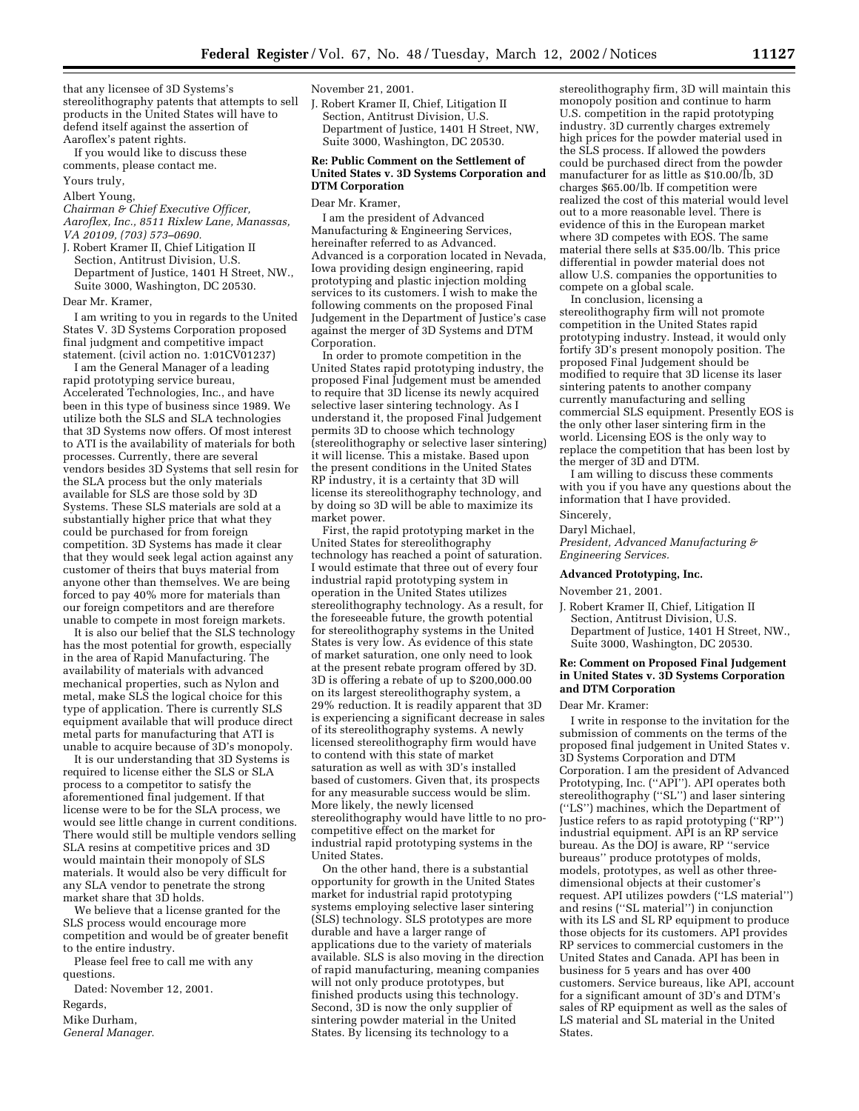that any licensee of 3D Systems's stereolithography patents that attempts to sell products in the United States will have to defend itself against the assertion of Aaroflex's patent rights.

If you would like to discuss these comments, please contact me.

Yours truly,

## Albert Young,

*Chairman & Chief Executive Officer, Aaroflex, Inc., 8511 Rixlew Lane, Manassas, VA 20109, (703) 573–0690.*

J. Robert Kramer II, Chief Litigation II

Section, Antitrust Division, U.S. Department of Justice, 1401 H Street, NW., Suite 3000, Washington, DC 20530.

Dear Mr. Kramer,

I am writing to you in regards to the United States V. 3D Systems Corporation proposed final judgment and competitive impact statement. (civil action no. 1:01CV01237)

I am the General Manager of a leading rapid prototyping service bureau, Accelerated Technologies, Inc., and have been in this type of business since 1989. We utilize both the SLS and SLA technologies that 3D Systems now offers. Of most interest to ATI is the availability of materials for both processes. Currently, there are several vendors besides 3D Systems that sell resin for the SLA process but the only materials available for SLS are those sold by 3D Systems. These SLS materials are sold at a substantially higher price that what they could be purchased for from foreign competition. 3D Systems has made it clear that they would seek legal action against any customer of theirs that buys material from anyone other than themselves. We are being forced to pay 40% more for materials than our foreign competitors and are therefore unable to compete in most foreign markets.

It is also our belief that the SLS technology has the most potential for growth, especially in the area of Rapid Manufacturing. The availability of materials with advanced mechanical properties, such as Nylon and metal, make SLS the logical choice for this type of application. There is currently SLS equipment available that will produce direct metal parts for manufacturing that ATI is unable to acquire because of 3D's monopoly.

It is our understanding that 3D Systems is required to license either the SLS or SLA process to a competitor to satisfy the aforementioned final judgement. If that license were to be for the SLA process, we would see little change in current conditions. There would still be multiple vendors selling SLA resins at competitive prices and 3D would maintain their monopoly of SLS materials. It would also be very difficult for any SLA vendor to penetrate the strong market share that 3D holds.

We believe that a license granted for the SLS process would encourage more competition and would be of greater benefit to the entire industry.

Please feel free to call me with any questions.

Dated: November 12, 2001.

Regards,

Mike Durham,

*General Manager.*

## November 21, 2001.

J. Robert Kramer II, Chief, Litigation II Section, Antitrust Division, U.S. Department of Justice, 1401 H Street, NW, Suite 3000, Washington, DC 20530.

## **Re: Public Comment on the Settlement of United States v. 3D Systems Corporation and DTM Corporation**

#### Dear Mr. Kramer,

I am the president of Advanced Manufacturing & Engineering Services, hereinafter referred to as Advanced. Advanced is a corporation located in Nevada, Iowa providing design engineering, rapid prototyping and plastic injection molding services to its customers. I wish to make the following comments on the proposed Final Judgement in the Department of Justice's case against the merger of 3D Systems and DTM Corporation.

In order to promote competition in the United States rapid prototyping industry, the proposed Final Judgement must be amended to require that 3D license its newly acquired selective laser sintering technology. As I understand it, the proposed Final Judgement permits 3D to choose which technology (stereolithography or selective laser sintering) it will license. This a mistake. Based upon the present conditions in the United States RP industry, it is a certainty that 3D will license its stereolithography technology, and by doing so 3D will be able to maximize its market power.

First, the rapid prototyping market in the United States for stereolithography technology has reached a point of saturation. I would estimate that three out of every four industrial rapid prototyping system in operation in the United States utilizes stereolithography technology. As a result, for the foreseeable future, the growth potential for stereolithography systems in the United States is very low. As evidence of this state of market saturation, one only need to look at the present rebate program offered by 3D. 3D is offering a rebate of up to \$200,000.00 on its largest stereolithography system, a 29% reduction. It is readily apparent that 3D is experiencing a significant decrease in sales of its stereolithography systems. A newly licensed stereolithography firm would have to contend with this state of market saturation as well as with 3D's installed based of customers. Given that, its prospects for any measurable success would be slim. More likely, the newly licensed stereolithography would have little to no procompetitive effect on the market for industrial rapid prototyping systems in the United States.

On the other hand, there is a substantial opportunity for growth in the United States market for industrial rapid prototyping systems employing selective laser sintering (SLS) technology. SLS prototypes are more durable and have a larger range of applications due to the variety of materials available. SLS is also moving in the direction of rapid manufacturing, meaning companies will not only produce prototypes, but finished products using this technology. Second, 3D is now the only supplier of sintering powder material in the United States. By licensing its technology to a

stereolithography firm, 3D will maintain this monopoly position and continue to harm U.S. competition in the rapid prototyping industry. 3D currently charges extremely high prices for the powder material used in the SLS process. If allowed the powders could be purchased direct from the powder manufacturer for as little as \$10.00/lb, 3D charges \$65.00/lb. If competition were realized the cost of this material would level out to a more reasonable level. There is evidence of this in the European market where 3D competes with EOS. The same material there sells at \$35.00/lb. This price differential in powder material does not allow U.S. companies the opportunities to compete on a global scale.

In conclusion, licensing a stereolithography firm will not promote competition in the United States rapid prototyping industry. Instead, it would only fortify 3D's present monopoly position. The proposed Final Judgement should be modified to require that 3D license its laser sintering patents to another company currently manufacturing and selling commercial SLS equipment. Presently EOS is the only other laser sintering firm in the world. Licensing EOS is the only way to replace the competition that has been lost by the merger of 3D and DTM.

I am willing to discuss these comments with you if you have any questions about the information that I have provided.

Sincerely,

Daryl Michael,

*President, Advanced Manufacturing & Engineering Services.*

# **Advanced Prototyping, Inc.**

November 21, 2001.

J. Robert Kramer II, Chief, Litigation II Section, Antitrust Division, U.S. Department of Justice, 1401 H Street, NW., Suite 3000, Washington, DC 20530.

# **Re: Comment on Proposed Final Judgement in United States v. 3D Systems Corporation and DTM Corporation**

#### Dear Mr. Kramer:

I write in response to the invitation for the submission of comments on the terms of the proposed final judgement in United States v. 3D Systems Corporation and DTM Corporation. I am the president of Advanced Prototyping, Inc. ("API"). API operates both stereolithography (''SL'') and laser sintering (''LS'') machines, which the Department of Justice refers to as rapid prototyping (''RP'') industrial equipment. API is an RP service bureau. As the DOJ is aware, RP ''service bureaus'' produce prototypes of molds, models, prototypes, as well as other threedimensional objects at their customer's request. API utilizes powders (''LS material'') and resins (''SL material'') in conjunction with its LS and SL RP equipment to produce those objects for its customers. API provides RP services to commercial customers in the United States and Canada. API has been in business for 5 years and has over 400 customers. Service bureaus, like API, account for a significant amount of 3D's and DTM's sales of RP equipment as well as the sales of LS material and SL material in the United States.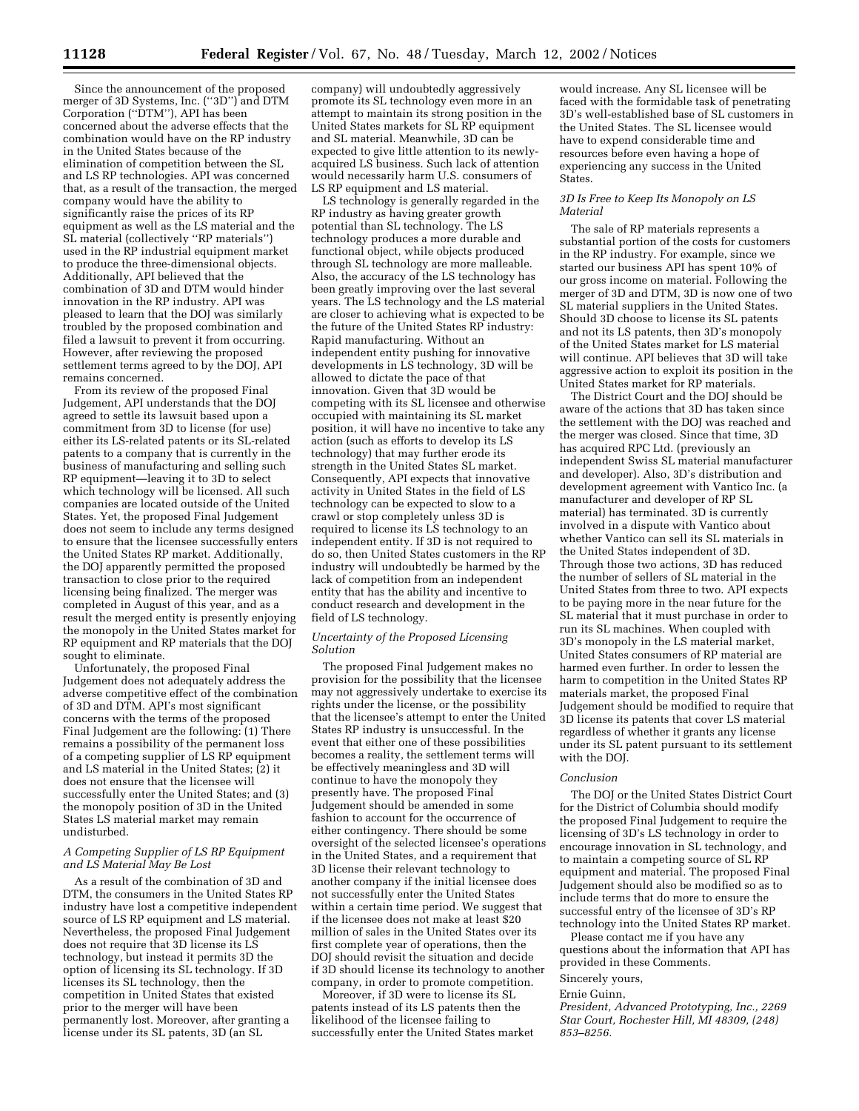Since the announcement of the proposed merger of 3D Systems, Inc. (''3D'') and DTM Corporation (''DTM''), API has been concerned about the adverse effects that the combination would have on the RP industry in the United States because of the elimination of competition between the SL and LS RP technologies. API was concerned that, as a result of the transaction, the merged company would have the ability to significantly raise the prices of its RP equipment as well as the LS material and the SL material (collectively ''RP materials'') used in the RP industrial equipment market to produce the three-dimensional objects. Additionally, API believed that the combination of 3D and DTM would hinder innovation in the RP industry. API was pleased to learn that the DOJ was similarly troubled by the proposed combination and filed a lawsuit to prevent it from occurring. However, after reviewing the proposed settlement terms agreed to by the DOJ, API remains concerned.

From its review of the proposed Final Judgement, API understands that the DOJ agreed to settle its lawsuit based upon a commitment from 3D to license (for use) either its LS-related patents or its SL-related patents to a company that is currently in the business of manufacturing and selling such RP equipment—leaving it to 3D to select which technology will be licensed. All such companies are located outside of the United States. Yet, the proposed Final Judgement does not seem to include any terms designed to ensure that the licensee successfully enters the United States RP market. Additionally, the DOJ apparently permitted the proposed transaction to close prior to the required licensing being finalized. The merger was completed in August of this year, and as a result the merged entity is presently enjoying the monopoly in the United States market for RP equipment and RP materials that the DOJ sought to eliminate.

Unfortunately, the proposed Final Judgement does not adequately address the adverse competitive effect of the combination of 3D and DTM. API's most significant concerns with the terms of the proposed Final Judgement are the following: (1) There remains a possibility of the permanent loss of a competing supplier of LS RP equipment and LS material in the United States; (2) it does not ensure that the licensee will successfully enter the United States; and (3) the monopoly position of 3D in the United States LS material market may remain undisturbed.

# *A Competing Supplier of LS RP Equipment and LS Material May Be Lost*

As a result of the combination of 3D and DTM, the consumers in the United States RP industry have lost a competitive independent source of LS RP equipment and LS material. Nevertheless, the proposed Final Judgement does not require that 3D license its LS technology, but instead it permits 3D the option of licensing its SL technology. If 3D licenses its SL technology, then the competition in United States that existed prior to the merger will have been permanently lost. Moreover, after granting a license under its SL patents, 3D (an SL

company) will undoubtedly aggressively promote its SL technology even more in an attempt to maintain its strong position in the United States markets for SL RP equipment and SL material. Meanwhile, 3D can be expected to give little attention to its newlyacquired LS business. Such lack of attention would necessarily harm U.S. consumers of LS RP equipment and LS material.

LS technology is generally regarded in the RP industry as having greater growth potential than SL technology. The LS technology produces a more durable and functional object, while objects produced through SL technology are more malleable. Also, the accuracy of the LS technology has been greatly improving over the last several years. The LS technology and the LS material are closer to achieving what is expected to be the future of the United States RP industry: Rapid manufacturing. Without an independent entity pushing for innovative developments in LS technology, 3D will be allowed to dictate the pace of that innovation. Given that 3D would be competing with its SL licensee and otherwise occupied with maintaining its SL market position, it will have no incentive to take any action (such as efforts to develop its LS technology) that may further erode its strength in the United States SL market. Consequently, API expects that innovative activity in United States in the field of LS technology can be expected to slow to a crawl or stop completely unless 3D is required to license its LS technology to an independent entity. If 3D is not required to do so, then United States customers in the RP industry will undoubtedly be harmed by the lack of competition from an independent entity that has the ability and incentive to conduct research and development in the field of LS technology.

## *Uncertainty of the Proposed Licensing Solution*

The proposed Final Judgement makes no provision for the possibility that the licensee may not aggressively undertake to exercise its rights under the license, or the possibility that the licensee's attempt to enter the United States RP industry is unsuccessful. In the event that either one of these possibilities becomes a reality, the settlement terms will be effectively meaningless and 3D will continue to have the monopoly they presently have. The proposed Final Judgement should be amended in some fashion to account for the occurrence of either contingency. There should be some oversight of the selected licensee's operations in the United States, and a requirement that 3D license their relevant technology to another company if the initial licensee does not successfully enter the United States within a certain time period. We suggest that if the licensee does not make at least \$20 million of sales in the United States over its first complete year of operations, then the DOJ should revisit the situation and decide if 3D should license its technology to another company, in order to promote competition.

Moreover, if 3D were to license its SL patents instead of its LS patents then the likelihood of the licensee failing to successfully enter the United States market

would increase. Any SL licensee will be faced with the formidable task of penetrating 3D's well-established base of SL customers in the United States. The SL licensee would have to expend considerable time and resources before even having a hope of experiencing any success in the United States.

# *3D Is Free to Keep Its Monopoly on LS Material*

The sale of RP materials represents a substantial portion of the costs for customers in the RP industry. For example, since we started our business API has spent 10% of our gross income on material. Following the merger of 3D and DTM, 3D is now one of two SL material suppliers in the United States. Should 3D choose to license its SL patents and not its LS patents, then 3D's monopoly of the United States market for LS material will continue. API believes that 3D will take aggressive action to exploit its position in the United States market for RP materials.

The District Court and the DOJ should be aware of the actions that 3D has taken since the settlement with the DOJ was reached and the merger was closed. Since that time, 3D has acquired RPC Ltd. (previously an independent Swiss SL material manufacturer and developer). Also, 3D's distribution and development agreement with Vantico Inc. (a manufacturer and developer of RP SL material) has terminated. 3D is currently involved in a dispute with Vantico about whether Vantico can sell its SL materials in the United States independent of 3D. Through those two actions, 3D has reduced the number of sellers of SL material in the United States from three to two. API expects to be paying more in the near future for the SL material that it must purchase in order to run its SL machines. When coupled with 3D's monopoly in the LS material market, United States consumers of RP material are harmed even further. In order to lessen the harm to competition in the United States RP materials market, the proposed Final Judgement should be modified to require that 3D license its patents that cover LS material regardless of whether it grants any license under its SL patent pursuant to its settlement with the DOJ.

# *Conclusion*

The DOJ or the United States District Court for the District of Columbia should modify the proposed Final Judgement to require the licensing of 3D's LS technology in order to encourage innovation in SL technology, and to maintain a competing source of SL RP equipment and material. The proposed Final Judgement should also be modified so as to include terms that do more to ensure the successful entry of the licensee of 3D's RP technology into the United States RP market.

Please contact me if you have any questions about the information that API has provided in these Comments.

# Sincerely yours,

Ernie Guinn, *President, Advanced Prototyping, Inc., 2269 Star Court, Rochester Hill, MI 48309, (248) 853–8256.*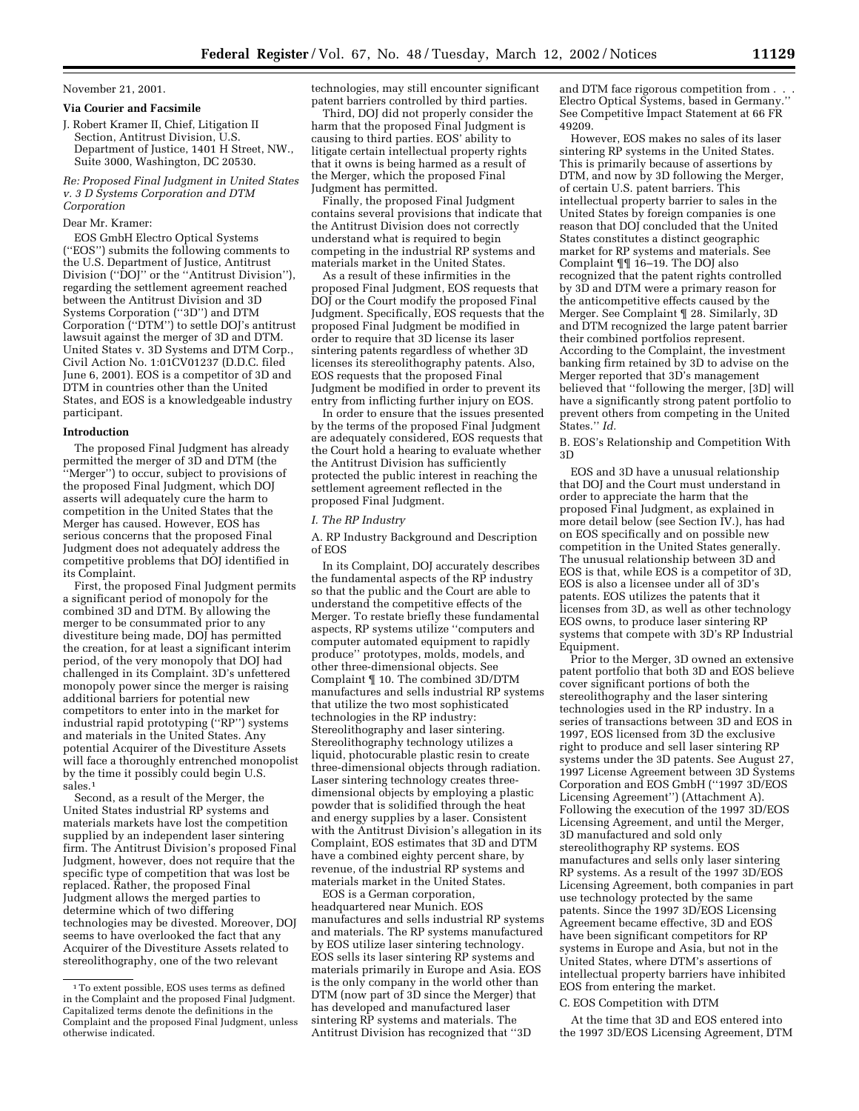## November 21, 2001.

## **Via Courier and Facsimile**

J. Robert Kramer II, Chief, Litigation II Section, Antitrust Division, U.S. Department of Justice, 1401 H Street, NW., Suite 3000, Washington, DC 20530.

*Re: Proposed Final Judgment in United States v. 3 D Systems Corporation and DTM Corporation*

## Dear Mr. Kramer:

EOS GmbH Electro Optical Systems (''EOS'') submits the following comments to the U.S. Department of Justice, Antitrust Division (''DOJ'' or the ''Antitrust Division''), regarding the settlement agreement reached between the Antitrust Division and 3D Systems Corporation (''3D'') and DTM Corporation (''DTM'') to settle DOJ's antitrust lawsuit against the merger of 3D and DTM. United States v. 3D Systems and DTM Corp., Civil Action No. 1:01CV01237 (D.D.C. filed June 6, 2001). EOS is a competitor of 3D and DTM in countries other than the United States, and EOS is a knowledgeable industry participant.

## **Introduction**

The proposed Final Judgment has already permitted the merger of 3D and DTM (the 'Merger'') to occur, subject to provisions of the proposed Final Judgment, which DOJ asserts will adequately cure the harm to competition in the United States that the Merger has caused. However, EOS has serious concerns that the proposed Final Judgment does not adequately address the competitive problems that DOJ identified in its Complaint.

First, the proposed Final Judgment permits a significant period of monopoly for the combined 3D and DTM. By allowing the merger to be consummated prior to any divestiture being made, DOJ has permitted the creation, for at least a significant interim period, of the very monopoly that DOJ had challenged in its Complaint. 3D's unfettered monopoly power since the merger is raising additional barriers for potential new competitors to enter into in the market for industrial rapid prototyping (''RP'') systems and materials in the United States. Any potential Acquirer of the Divestiture Assets will face a thoroughly entrenched monopolist by the time it possibly could begin U.S. sales.1

Second, as a result of the Merger, the United States industrial RP systems and materials markets have lost the competition supplied by an independent laser sintering firm. The Antitrust Division's proposed Final Judgment, however, does not require that the specific type of competition that was lost be replaced. Rather, the proposed Final Judgment allows the merged parties to determine which of two differing technologies may be divested. Moreover, DOJ seems to have overlooked the fact that any Acquirer of the Divestiture Assets related to stereolithography, one of the two relevant

technologies, may still encounter significant patent barriers controlled by third parties.

Third, DOJ did not properly consider the harm that the proposed Final Judgment is causing to third parties. EOS' ability to litigate certain intellectual property rights that it owns is being harmed as a result of the Merger, which the proposed Final Judgment has permitted.

Finally, the proposed Final Judgment contains several provisions that indicate that the Antitrust Division does not correctly understand what is required to begin competing in the industrial RP systems and materials market in the United States.

As a result of these infirmities in the proposed Final Judgment, EOS requests that DOJ or the Court modify the proposed Final Judgment. Specifically, EOS requests that the proposed Final Judgment be modified in order to require that 3D license its laser sintering patents regardless of whether 3D licenses its stereolithography patents. Also, EOS requests that the proposed Final Judgment be modified in order to prevent its entry from inflicting further injury on EOS.

In order to ensure that the issues presented by the terms of the proposed Final Judgment are adequately considered, EOS requests that the Court hold a hearing to evaluate whether the Antitrust Division has sufficiently protected the public interest in reaching the settlement agreement reflected in the proposed Final Judgment.

## *I. The RP Industry*

A. RP Industry Background and Description of EOS

In its Complaint, DOJ accurately describes the fundamental aspects of the RP industry so that the public and the Court are able to understand the competitive effects of the Merger. To restate briefly these fundamental aspects, RP systems utilize ''computers and computer automated equipment to rapidly produce'' prototypes, molds, models, and other three-dimensional objects. See Complaint ¶ 10. The combined 3D/DTM manufactures and sells industrial RP systems that utilize the two most sophisticated technologies in the RP industry: Stereolithography and laser sintering. Stereolithography technology utilizes a liquid, photocurable plastic resin to create three-dimensional objects through radiation. Laser sintering technology creates threedimensional objects by employing a plastic powder that is solidified through the heat and energy supplies by a laser. Consistent with the Antitrust Division's allegation in its Complaint, EOS estimates that 3D and DTM have a combined eighty percent share, by revenue, of the industrial RP systems and materials market in the United States.

EOS is a German corporation, headquartered near Munich. EOS manufactures and sells industrial RP systems and materials. The RP systems manufactured by EOS utilize laser sintering technology. EOS sells its laser sintering RP systems and materials primarily in Europe and Asia. EOS is the only company in the world other than DTM (now part of 3D since the Merger) that has developed and manufactured laser sintering RP systems and materials. The Antitrust Division has recognized that ''3D

and DTM face rigorous competition from . . . Electro Optical Systems, based in Germany.'' See Competitive Impact Statement at 66 FR 49209.

However, EOS makes no sales of its laser sintering RP systems in the United States. This is primarily because of assertions by DTM, and now by 3D following the Merger, of certain U.S. patent barriers. This intellectual property barrier to sales in the United States by foreign companies is one reason that DOJ concluded that the United States constitutes a distinct geographic market for RP systems and materials. See Complaint ¶¶ 16–19. The DOJ also recognized that the patent rights controlled by 3D and DTM were a primary reason for the anticompetitive effects caused by the Merger. See Complaint ¶ 28. Similarly, 3D and DTM recognized the large patent barrier their combined portfolios represent. According to the Complaint, the investment banking firm retained by 3D to advise on the Merger reported that 3D's management believed that ''following the merger, [3D] will have a significantly strong patent portfolio to prevent others from competing in the United States.'' *Id.*

B. EOS's Relationship and Competition With 3D

EOS and 3D have a unusual relationship that DOJ and the Court must understand in order to appreciate the harm that the proposed Final Judgment, as explained in more detail below (see Section IV.), has had on EOS specifically and on possible new competition in the United States generally. The unusual relationship between 3D and EOS is that, while EOS is a competitor of 3D, EOS is also a licensee under all of 3D's patents. EOS utilizes the patents that it licenses from 3D, as well as other technology EOS owns, to produce laser sintering RP systems that compete with 3D's RP Industrial Equipment.

Prior to the Merger, 3D owned an extensive patent portfolio that both 3D and EOS believe cover significant portions of both the stereolithography and the laser sintering technologies used in the RP industry. In a series of transactions between 3D and EOS in 1997, EOS licensed from 3D the exclusive right to produce and sell laser sintering RP systems under the 3D patents. See August 27, 1997 License Agreement between 3D Systems Corporation and EOS GmbH (''1997 3D/EOS Licensing Agreement'') (Attachment A). Following the execution of the 1997 3D/EOS Licensing Agreement, and until the Merger, 3D manufactured and sold only stereolithography RP systems. EOS manufactures and sells only laser sintering RP systems. As a result of the 1997 3D/EOS Licensing Agreement, both companies in part use technology protected by the same patents. Since the 1997 3D/EOS Licensing Agreement became effective, 3D and EOS have been significant competitors for RP systems in Europe and Asia, but not in the United States, where DTM's assertions of intellectual property barriers have inhibited EOS from entering the market.

# C. EOS Competition with DTM

At the time that 3D and EOS entered into the 1997 3D/EOS Licensing Agreement, DTM

<sup>1</sup>To extent possible, EOS uses terms as defined in the Complaint and the proposed Final Judgment. Capitalized terms denote the definitions in the Complaint and the proposed Final Judgment, unless otherwise indicated.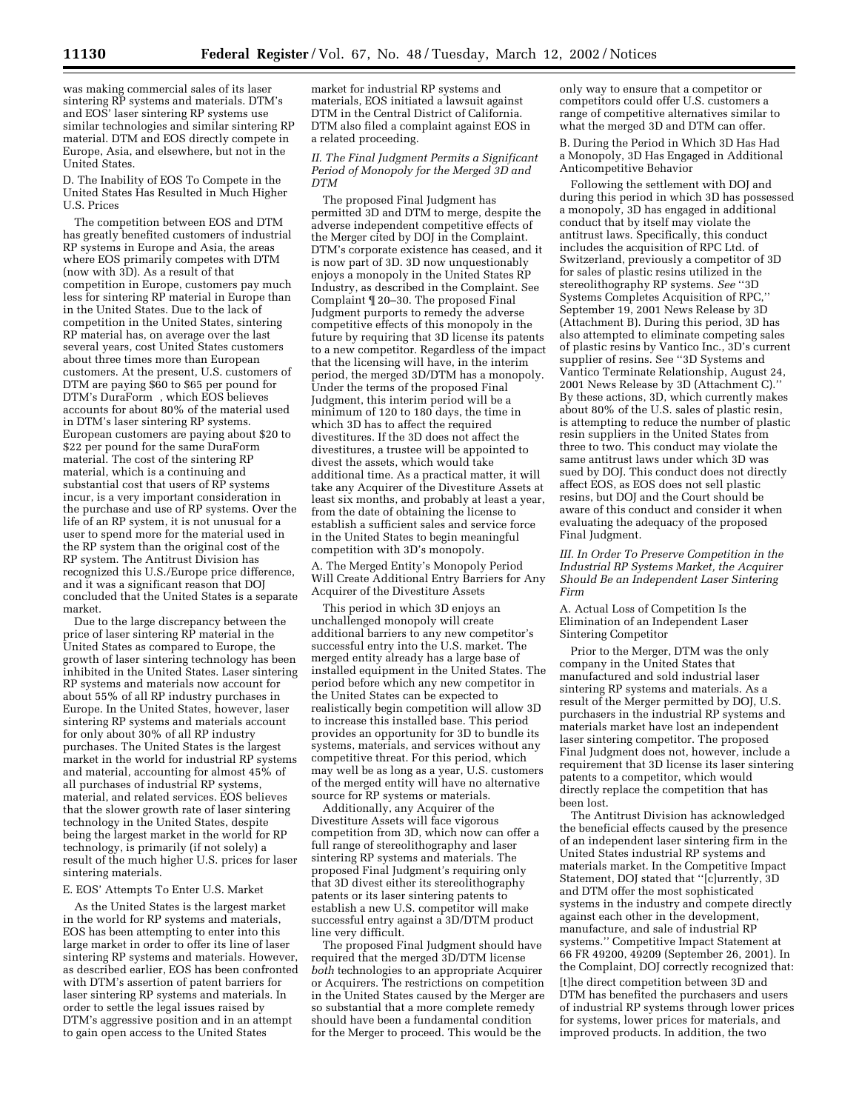was making commercial sales of its laser sintering RP systems and materials. DTM's and EOS' laser sintering RP systems use similar technologies and similar sintering RP material. DTM and EOS directly compete in Europe, Asia, and elsewhere, but not in the United States.

D. The Inability of EOS To Compete in the United States Has Resulted in Much Higher U.S. Prices

The competition between EOS and DTM has greatly benefited customers of industrial RP systems in Europe and Asia, the areas where EOS primarily competes with DTM (now with 3D). As a result of that competition in Europe, customers pay much less for sintering RP material in Europe than in the United States. Due to the lack of competition in the United States, sintering RP material has, on average over the last several years, cost United States customers about three times more than European customers. At the present, U.S. customers of DTM are paying \$60 to \$65 per pound for DTM's DuraForm<sup>®</sup>, which EOS believes accounts for about 80% of the material used in DTM's laser sintering RP systems. European customers are paying about \$20 to \$22 per pound for the same DuraForm® material. The cost of the sintering RP material, which is a continuing and substantial cost that users of RP systems incur, is a very important consideration in the purchase and use of RP systems. Over the life of an RP system, it is not unusual for a user to spend more for the material used in the RP system than the original cost of the RP system. The Antitrust Division has recognized this U.S./Europe price difference, and it was a significant reason that DOJ concluded that the United States is a separate market.

Due to the large discrepancy between the price of laser sintering RP material in the United States as compared to Europe, the growth of laser sintering technology has been inhibited in the United States. Laser sintering RP systems and materials now account for about 55% of all RP industry purchases in Europe. In the United States, however, laser sintering RP systems and materials account for only about 30% of all RP industry purchases. The United States is the largest market in the world for industrial RP systems and material, accounting for almost 45% of all purchases of industrial RP systems, material, and related services. EOS believes that the slower growth rate of laser sintering technology in the United States, despite being the largest market in the world for RP technology, is primarily (if not solely) a result of the much higher U.S. prices for laser sintering materials.

## E. EOS' Attempts To Enter U.S. Market

As the United States is the largest market in the world for RP systems and materials, EOS has been attempting to enter into this large market in order to offer its line of laser sintering RP systems and materials. However, as described earlier, EOS has been confronted with DTM's assertion of patent barriers for laser sintering RP systems and materials. In order to settle the legal issues raised by DTM's aggressive position and in an attempt to gain open access to the United States

market for industrial RP systems and materials, EOS initiated a lawsuit against DTM in the Central District of California. DTM also filed a complaint against EOS in a related proceeding.

## *II. The Final Judgment Permits a Significant Period of Monopoly for the Merged 3D and DTM*

The proposed Final Judgment has permitted 3D and DTM to merge, despite the adverse independent competitive effects of the Merger cited by DOJ in the Complaint. DTM's corporate existence has ceased, and it is now part of 3D. 3D now unquestionably enjoys a monopoly in the United States RP Industry, as described in the Complaint. See Complaint ¶ 20–30. The proposed Final Judgment purports to remedy the adverse competitive effects of this monopoly in the future by requiring that 3D license its patents to a new competitor. Regardless of the impact that the licensing will have, in the interim period, the merged 3D/DTM has a monopoly. Under the terms of the proposed Final Judgment, this interim period will be a minimum of 120 to 180 days, the time in which 3D has to affect the required divestitures. If the 3D does not affect the divestitures, a trustee will be appointed to divest the assets, which would take additional time. As a practical matter, it will take any Acquirer of the Divestiture Assets at least six months, and probably at least a year, from the date of obtaining the license to establish a sufficient sales and service force in the United States to begin meaningful competition with 3D's monopoly.

A. The Merged Entity's Monopoly Period Will Create Additional Entry Barriers for Any Acquirer of the Divestiture Assets

This period in which 3D enjoys an unchallenged monopoly will create additional barriers to any new competitor's successful entry into the U.S. market. The merged entity already has a large base of installed equipment in the United States. The period before which any new competitor in the United States can be expected to realistically begin competition will allow 3D to increase this installed base. This period provides an opportunity for 3D to bundle its systems, materials, and services without any competitive threat. For this period, which may well be as long as a year, U.S. customers of the merged entity will have no alternative source for RP systems or materials.

Additionally, any Acquirer of the Divestiture Assets will face vigorous competition from 3D, which now can offer a full range of stereolithography and laser sintering RP systems and materials. The proposed Final Judgment's requiring only that 3D divest either its stereolithography patents or its laser sintering patents to establish a new U.S. competitor will make successful entry against a 3D/DTM product line very difficult.

The proposed Final Judgment should have required that the merged 3D/DTM license *both* technologies to an appropriate Acquirer or Acquirers. The restrictions on competition in the United States caused by the Merger are so substantial that a more complete remedy should have been a fundamental condition for the Merger to proceed. This would be the

only way to ensure that a competitor or competitors could offer U.S. customers a range of competitive alternatives similar to what the merged 3D and DTM can offer. B. During the Period in Which 3D Has Had a Monopoly, 3D Has Engaged in Additional Anticompetitive Behavior

Following the settlement with DOJ and during this period in which 3D has possessed a monopoly, 3D has engaged in additional conduct that by itself may violate the antitrust laws. Specifically, this conduct includes the acquisition of RPC Ltd. of Switzerland, previously a competitor of 3D for sales of plastic resins utilized in the stereolithography RP systems. *See* ''3D Systems Completes Acquisition of RPC,'' September 19, 2001 News Release by 3D (Attachment B). During this period, 3D has also attempted to eliminate competing sales of plastic resins by Vantico Inc., 3D's current supplier of resins. See ''3D Systems and Vantico Terminate Relationship, August 24, 2001 News Release by 3D (Attachment C). By these actions, 3D, which currently makes about 80% of the U.S. sales of plastic resin, is attempting to reduce the number of plastic resin suppliers in the United States from three to two. This conduct may violate the same antitrust laws under which 3D was sued by DOJ. This conduct does not directly affect EOS, as EOS does not sell plastic resins, but DOJ and the Court should be aware of this conduct and consider it when evaluating the adequacy of the proposed Final Judgment.

*III. In Order To Preserve Competition in the Industrial RP Systems Market, the Acquirer Should Be an Independent Laser Sintering Firm*

A. Actual Loss of Competition Is the Elimination of an Independent Laser Sintering Competitor

Prior to the Merger, DTM was the only company in the United States that manufactured and sold industrial laser sintering RP systems and materials. As a result of the Merger permitted by DOJ, U.S. purchasers in the industrial RP systems and materials market have lost an independent laser sintering competitor. The proposed Final Judgment does not, however, include a requirement that 3D license its laser sintering patents to a competitor, which would directly replace the competition that has been lost.

The Antitrust Division has acknowledged the beneficial effects caused by the presence of an independent laser sintering firm in the United States industrial RP systems and materials market. In the Competitive Impact Statement, DOJ stated that ''[c]urrently, 3D and DTM offer the most sophisticated systems in the industry and compete directly against each other in the development, manufacture, and sale of industrial RP systems.'' Competitive Impact Statement at 66 FR 49200, 49209 (September 26, 2001). In the Complaint, DOJ correctly recognized that: [t]he direct competition between 3D and DTM has benefited the purchasers and users of industrial RP systems through lower prices for systems, lower prices for materials, and improved products. In addition, the two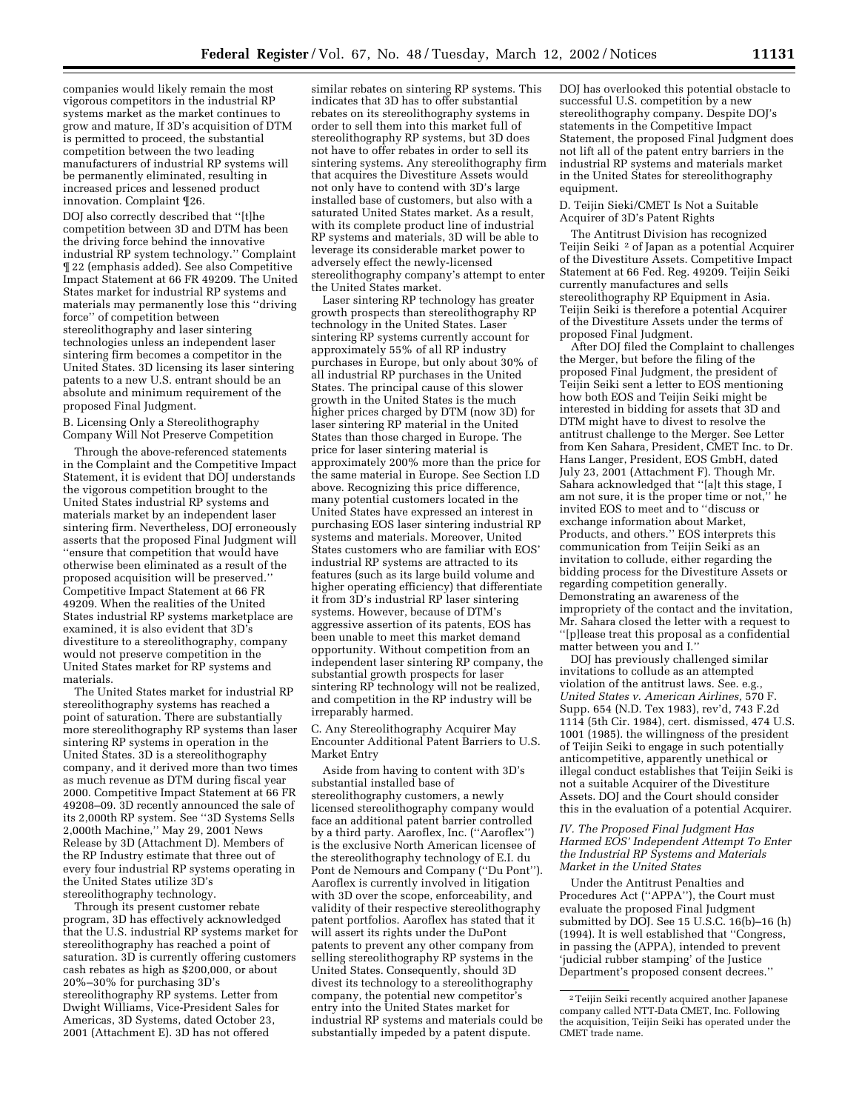companies would likely remain the most vigorous competitors in the industrial RP systems market as the market continues to grow and mature, If 3D's acquisition of DTM is permitted to proceed, the substantial competition between the two leading manufacturers of industrial RP systems will be permanently eliminated, resulting in increased prices and lessened product innovation. Complaint ¶26.

DOJ also correctly described that ''[t]he competition between 3D and DTM has been the driving force behind the innovative industrial RP system technology.'' Complaint ¶ 22 (emphasis added). See also Competitive Impact Statement at 66 FR 49209. The United States market for industrial RP systems and materials may permanently lose this ''driving force'' of competition between stereolithography and laser sintering technologies unless an independent laser sintering firm becomes a competitor in the United States. 3D licensing its laser sintering patents to a new U.S. entrant should be an absolute and minimum requirement of the proposed Final Judgment.

B. Licensing Only a Stereolithography Company Will Not Preserve Competition

Through the above-referenced statements in the Complaint and the Competitive Impact Statement, it is evident that DOJ understands the vigorous competition brought to the United States industrial RP systems and materials market by an independent laser sintering firm. Nevertheless, DOJ erroneously asserts that the proposed Final Judgment will ''ensure that competition that would have otherwise been eliminated as a result of the proposed acquisition will be preserved.'' Competitive Impact Statement at 66 FR 49209. When the realities of the United States industrial RP systems marketplace are examined, it is also evident that 3D's divestiture to a stereolithography, company would not preserve competition in the United States market for RP systems and materials.

The United States market for industrial RP stereolithography systems has reached a point of saturation. There are substantially more stereolithography RP systems than laser sintering RP systems in operation in the United States. 3D is a stereolithography company, and it derived more than two times as much revenue as DTM during fiscal year 2000. Competitive Impact Statement at 66 FR 49208–09. 3D recently announced the sale of its 2,000th RP system. See ''3D Systems Sells 2,000th Machine,'' May 29, 2001 News Release by 3D (Attachment D). Members of the RP Industry estimate that three out of every four industrial RP systems operating in the United States utilize 3D's stereolithography technology.

Through its present customer rebate program, 3D has effectively acknowledged that the U.S. industrial RP systems market for stereolithography has reached a point of saturation. 3D is currently offering customers cash rebates as high as \$200,000, or about 20%–30% for purchasing 3D's stereolithography RP systems. Letter from Dwight Williams, Vice-President Sales for Americas, 3D Systems, dated October 23, 2001 (Attachment E). 3D has not offered

similar rebates on sintering RP systems. This indicates that 3D has to offer substantial rebates on its stereolithography systems in order to sell them into this market full of stereolithography RP systems, but 3D does not have to offer rebates in order to sell its sintering systems. Any stereolithography firm that acquires the Divestiture Assets would not only have to contend with 3D's large installed base of customers, but also with a saturated United States market. As a result, with its complete product line of industrial RP systems and materials, 3D will be able to leverage its considerable market power to adversely effect the newly-licensed stereolithography company's attempt to enter the United States market.

Laser sintering RP technology has greater growth prospects than stereolithography RP technology in the United States. Laser sintering RP systems currently account for approximately 55% of all RP industry purchases in Europe, but only about 30% of all industrial RP purchases in the United States. The principal cause of this slower growth in the United States is the much higher prices charged by DTM (now 3D) for laser sintering RP material in the United States than those charged in Europe. The price for laser sintering material is approximately 200% more than the price for the same material in Europe. See Section I.D above. Recognizing this price difference, many potential customers located in the United States have expressed an interest in purchasing EOS laser sintering industrial RP systems and materials. Moreover, United States customers who are familiar with EOS' industrial RP systems are attracted to its features (such as its large build volume and higher operating efficiency) that differentiate it from 3D's industrial RP laser sintering systems. However, because of DTM's aggressive assertion of its patents, EOS has been unable to meet this market demand opportunity. Without competition from an independent laser sintering RP company, the substantial growth prospects for laser sintering RP technology will not be realized, and competition in the RP industry will be irreparably harmed.

C. Any Stereolithography Acquirer May Encounter Additional Patent Barriers to U.S. Market Entry

Aside from having to content with 3D's substantial installed base of stereolithography customers, a newly licensed stereolithography company would face an additional patent barrier controlled by a third party. Aaroflex, Inc. (''Aaroflex'') is the exclusive North American licensee of the stereolithography technology of E.I. du Pont de Nemours and Company (''Du Pont''). Aaroflex is currently involved in litigation with 3D over the scope, enforceability, and validity of their respective stereolithography patent portfolios. Aaroflex has stated that it will assert its rights under the DuPont patents to prevent any other company from selling stereolithography RP systems in the United States. Consequently, should 3D divest its technology to a stereolithography company, the potential new competitor's entry into the United States market for industrial RP systems and materials could be substantially impeded by a patent dispute.

DOJ has overlooked this potential obstacle to successful U.S. competition by a new stereolithography company. Despite DOJ's statements in the Competitive Impact Statement, the proposed Final Judgment does not lift all of the patent entry barriers in the industrial RP systems and materials market in the United States for stereolithography equipment.

D. Teijin Sieki/CMET Is Not a Suitable Acquirer of 3D's Patent Rights

The Antitrust Division has recognized Teijin Seiki 2 of Japan as a potential Acquirer of the Divestiture Assets. Competitive Impact Statement at 66 Fed. Reg. 49209. Teijin Seiki currently manufactures and sells stereolithography RP Equipment in Asia. Teijin Seiki is therefore a potential Acquirer of the Divestiture Assets under the terms of proposed Final Judgment.

After DOJ filed the Complaint to challenges the Merger, but before the filing of the proposed Final Judgment, the president of Teijin Seiki sent a letter to EOS mentioning how both EOS and Teijin Seiki might be interested in bidding for assets that 3D and DTM might have to divest to resolve the antitrust challenge to the Merger. See Letter from Ken Sahara, President, CMET Inc. to Dr. Hans Langer, President, EOS GmbH, dated July 23, 2001 (Attachment F). Though Mr. Sahara acknowledged that ''[a]t this stage, I am not sure, it is the proper time or not,'' he invited EOS to meet and to ''discuss or exchange information about Market, Products, and others.'' EOS interprets this communication from Teijin Seiki as an invitation to collude, either regarding the bidding process for the Divestiture Assets or regarding competition generally. Demonstrating an awareness of the impropriety of the contact and the invitation, Mr. Sahara closed the letter with a request to ''[p]lease treat this proposal as a confidential matter between you and I.''

DOJ has previously challenged similar invitations to collude as an attempted violation of the antitrust laws. See. e.g., *United States v. American Airlines,* 570 F. Supp. 654 (N.D. Tex 1983), rev'd, 743 F.2d 1114 (5th Cir. 1984), cert. dismissed, 474 U.S. 1001 (1985). the willingness of the president of Teijin Seiki to engage in such potentially anticompetitive, apparently unethical or illegal conduct establishes that Teijin Seiki is not a suitable Acquirer of the Divestiture Assets. DOJ and the Court should consider this in the evaluation of a potential Acquirer.

*IV. The Proposed Final Judgment Has Harmed EOS' Independent Attempt To Enter the Industrial RP Systems and Materials Market in the United States*

Under the Antitrust Penalties and Procedures Act (''APPA''), the Court must evaluate the proposed Final Judgment submitted by DOJ. See 15 U.S.C. 16(b)–16 (h) (1994). It is well established that ''Congress, in passing the (APPA), intended to prevent 'judicial rubber stamping' of the Justice Department's proposed consent decrees.''

<sup>2</sup>Teijin Seiki recently acquired another Japanese company called NTT-Data CMET, Inc. Following the acquisition, Teijin Seiki has operated under the CMET trade name.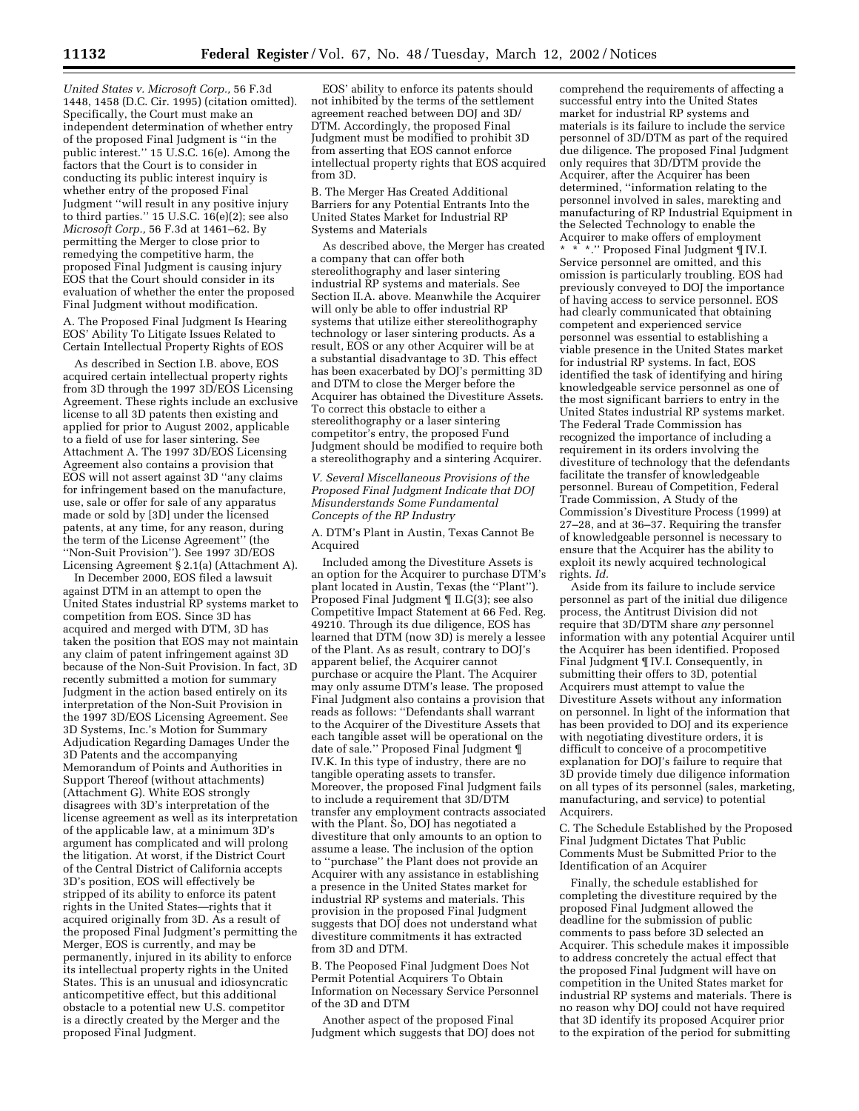*United States v. Microsoft Corp.,* 56 F.3d 1448, 1458 (D.C. Cir. 1995) (citation omitted). Specifically, the Court must make an independent determination of whether entry of the proposed Final Judgment is ''in the public interest.'' 15 U.S.C. 16(e). Among the factors that the Court is to consider in conducting its public interest inquiry is whether entry of the proposed Final Judgment ''will result in any positive injury to third parties.'' 15 U.S.C. 16(e)(2); see also *Microsoft Corp.,* 56 F.3d at 1461–62. By permitting the Merger to close prior to remedying the competitive harm, the proposed Final Judgment is causing injury EOS that the Court should consider in its evaluation of whether the enter the proposed Final Judgment without modification.

A. The Proposed Final Judgment Is Hearing EOS' Ability To Litigate Issues Related to Certain Intellectual Property Rights of EOS

As described in Section I.B. above, EOS acquired certain intellectual property rights from 3D through the 1997 3D/EOS Licensing Agreement. These rights include an exclusive license to all 3D patents then existing and applied for prior to August 2002, applicable to a field of use for laser sintering. See Attachment A. The 1997 3D/EOS Licensing Agreement also contains a provision that EOS will not assert against 3D ''any claims for infringement based on the manufacture, use, sale or offer for sale of any apparatus made or sold by [3D] under the licensed patents, at any time, for any reason, during the term of the License Agreement'' (the ''Non-Suit Provision''). See 1997 3D/EOS Licensing Agreement § 2.1(a) (Attachment A).

In December 2000, EOS filed a lawsuit against DTM in an attempt to open the United States industrial RP systems market to competition from EOS. Since 3D has acquired and merged with DTM, 3D has taken the position that EOS may not maintain any claim of patent infringement against 3D because of the Non-Suit Provision. In fact, 3D recently submitted a motion for summary Judgment in the action based entirely on its interpretation of the Non-Suit Provision in the 1997 3D/EOS Licensing Agreement. See 3D Systems, Inc.'s Motion for Summary Adjudication Regarding Damages Under the 3D Patents and the accompanying Memorandum of Points and Authorities in Support Thereof (without attachments) (Attachment G). White EOS strongly disagrees with 3D's interpretation of the license agreement as well as its interpretation of the applicable law, at a minimum 3D's argument has complicated and will prolong the litigation. At worst, if the District Court of the Central District of California accepts 3D's position, EOS will effectively be stripped of its ability to enforce its patent rights in the United States—rights that it acquired originally from 3D. As a result of the proposed Final Judgment's permitting the Merger, EOS is currently, and may be permanently, injured in its ability to enforce its intellectual property rights in the United States. This is an unusual and idiosyncratic anticompetitive effect, but this additional obstacle to a potential new U.S. competitor is a directly created by the Merger and the proposed Final Judgment.

EOS' ability to enforce its patents should not inhibited by the terms of the settlement agreement reached between DOJ and 3D/ DTM. Accordingly, the proposed Final Judgment must be modified to prohibit 3D from asserting that EOS cannot enforce intellectual property rights that EOS acquired from 3D.

B. The Merger Has Created Additional Barriers for any Potential Entrants Into the United States Market for Industrial RP Systems and Materials

As described above, the Merger has created a company that can offer both stereolithography and laser sintering industrial RP systems and materials. See Section II.A. above. Meanwhile the Acquirer will only be able to offer industrial RP systems that utilize either stereolithography technology or laser sintering products. As a result, EOS or any other Acquirer will be at a substantial disadvantage to 3D. This effect has been exacerbated by DOJ's permitting 3D and DTM to close the Merger before the Acquirer has obtained the Divestiture Assets. To correct this obstacle to either a stereolithography or a laser sintering competitor's entry, the proposed Fund Judgment should be modified to require both a stereolithography and a sintering Acquirer.

*V. Several Miscellaneous Provisions of the Proposed Final Judgment Indicate that DOJ Misunderstands Some Fundamental Concepts of the RP Industry*

A. DTM's Plant in Austin, Texas Cannot Be Acquired

Included among the Divestiture Assets is an option for the Acquirer to purchase DTM's plant located in Austin, Texas (the ''Plant''). Proposed Final Judgment ¶ II.G(3); see also Competitive Impact Statement at 66 Fed. Reg. 49210. Through its due diligence, EOS has learned that DTM (now 3D) is merely a lessee of the Plant. As as result, contrary to DOJ's apparent belief, the Acquirer cannot purchase or acquire the Plant. The Acquirer may only assume DTM's lease. The proposed Final Judgment also contains a provision that reads as follows: ''Defendants shall warrant to the Acquirer of the Divestiture Assets that each tangible asset will be operational on the date of sale.'' Proposed Final Judgment ¶ IV.K. In this type of industry, there are no tangible operating assets to transfer. Moreover, the proposed Final Judgment fails to include a requirement that 3D/DTM transfer any employment contracts associated with the Plant. So, DOJ has negotiated a divestiture that only amounts to an option to assume a lease. The inclusion of the option to ''purchase'' the Plant does not provide an Acquirer with any assistance in establishing a presence in the United States market for industrial RP systems and materials. This provision in the proposed Final Judgment suggests that DOJ does not understand what divestiture commitments it has extracted from 3D and DTM.

B. The Peoposed Final Judgment Does Not Permit Potential Acquirers To Obtain Information on Necessary Service Personnel of the 3D and DTM

Another aspect of the proposed Final Judgment which suggests that DOJ does not comprehend the requirements of affecting a successful entry into the United States market for industrial RP systems and materials is its failure to include the service personnel of 3D/DTM as part of the required due diligence. The proposed Final Judgment only requires that 3D/DTM provide the Acquirer, after the Acquirer has been determined, ''information relating to the personnel involved in sales, marekting and manufacturing of RP Industrial Equipment in the Selected Technology to enable the Acquirer to make offers of employment

\*." Proposed Final Judgment ¶ IV.I. Service personnel are omitted, and this omission is particularly troubling. EOS had previously conveyed to DOJ the importance of having access to service personnel. EOS had clearly communicated that obtaining competent and experienced service personnel was essential to establishing a viable presence in the United States market for industrial RP systems. In fact, EOS identified the task of identifying and hiring knowledgeable service personnel as one of the most significant barriers to entry in the United States industrial RP systems market. The Federal Trade Commission has recognized the importance of including a requirement in its orders involving the divestiture of technology that the defendants facilitate the transfer of knowledgeable personnel. Bureau of Competition, Federal Trade Commission, A Study of the Commission's Divestiture Process (1999) at 27–28, and at 36–37. Requiring the transfer of knowledgeable personnel is necessary to ensure that the Acquirer has the ability to exploit its newly acquired technological rights. *Id.*

Aside from its failure to include service personnel as part of the initial due diligence process, the Antitrust Division did not require that 3D/DTM share *any* personnel information with any potential Acquirer until the Acquirer has been identified. Proposed Final Judgment ¶ IV.I. Consequently, in submitting their offers to 3D, potential Acquirers must attempt to value the Divestiture Assets without any information on personnel. In light of the information that has been provided to DOJ and its experience with negotiating divestiture orders, it is difficult to conceive of a procompetitive explanation for DOJ's failure to require that 3D provide timely due diligence information on all types of its personnel (sales, marketing, manufacturing, and service) to potential Acquirers.

C. The Schedule Established by the Proposed Final Judgment Dictates That Public Comments Must be Submitted Prior to the Identification of an Acquirer

Finally, the schedule established for completing the divestiture required by the proposed Final Judgment allowed the deadline for the submission of public comments to pass before 3D selected an Acquirer. This schedule makes it impossible to address concretely the actual effect that the proposed Final Judgment will have on competition in the United States market for industrial RP systems and materials. There is no reason why DOJ could not have required that 3D identify its proposed Acquirer prior to the expiration of the period for submitting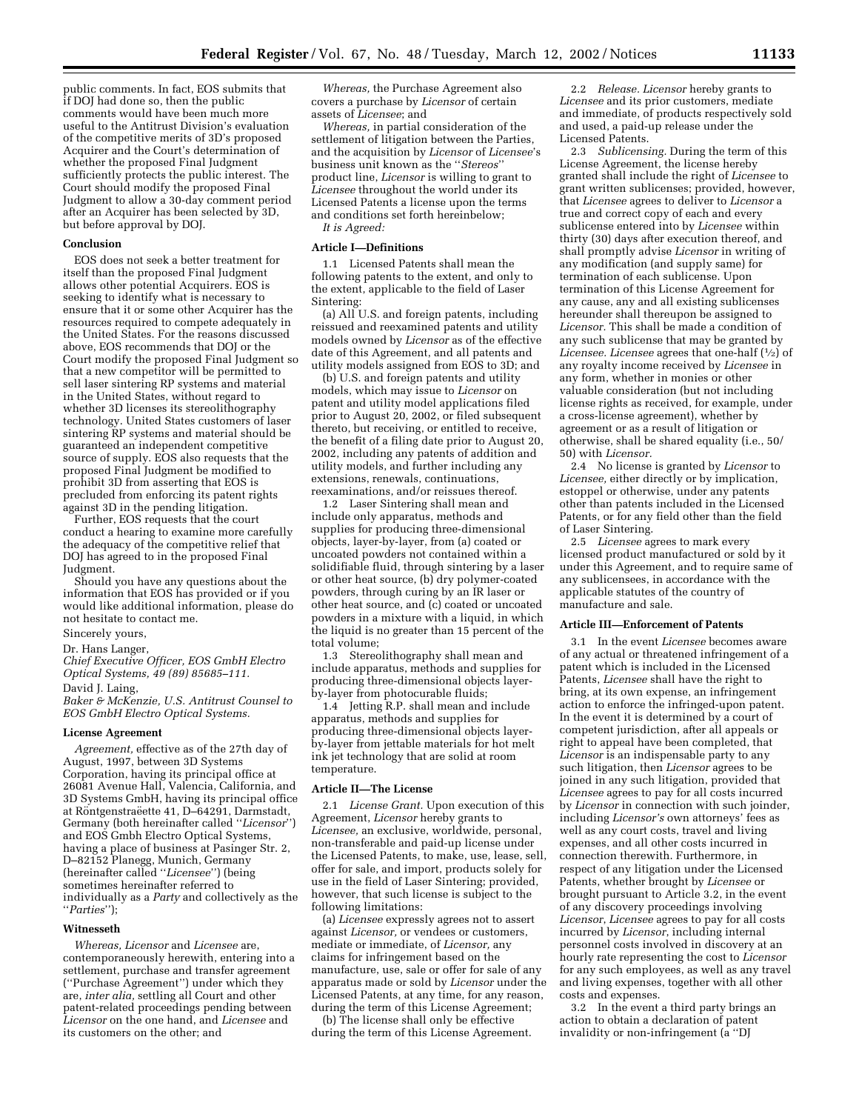public comments. In fact, EOS submits that if DOJ had done so, then the public comments would have been much more useful to the Antitrust Division's evaluation of the competitive merits of 3D's proposed Acquirer and the Court's determination of whether the proposed Final Judgment sufficiently protects the public interest. The Court should modify the proposed Final Judgment to allow a 30-day comment period after an Acquirer has been selected by 3D, but before approval by DOJ.

## **Conclusion**

EOS does not seek a better treatment for itself than the proposed Final Judgment allows other potential Acquirers. EOS is seeking to identify what is necessary to ensure that it or some other Acquirer has the resources required to compete adequately in the United States. For the reasons discussed above, EOS recommends that DOJ or the Court modify the proposed Final Judgment so that a new competitor will be permitted to sell laser sintering RP systems and material in the United States, without regard to whether 3D licenses its stereolithography technology. United States customers of laser sintering  $\overline{RP}$  systems and material should be guaranteed an independent competitive source of supply. EOS also requests that the proposed Final Judgment be modified to prohibit 3D from asserting that EOS is precluded from enforcing its patent rights against 3D in the pending litigation.

Further, EOS requests that the court conduct a hearing to examine more carefully the adequacy of the competitive relief that DOJ has agreed to in the proposed Final Judgment.

Should you have any questions about the information that EOS has provided or if you would like additional information, please do not hesitate to contact me.

# Sincerely yours,

# Dr. Hans Langer,

*Chief Executive Officer, EOS GmbH Electro Optical Systems, 49 (89) 85685–111.* David J. Laing,

*Baker & McKenzie, U.S. Antitrust Counsel to EOS GmbH Electro Optical Systems.*

## **License Agreement**

*Agreement,* effective as of the 27th day of August, 1997, between 3D Systems Corporation, having its principal office at 26081 Avenue Hall, Valencia, California, and 3D Systems GmbH, having its principal office at Röntgenstraëette 41, D–64291, Darmstadt, Germany (both hereinafter called ''*Licensor*'') and EOS Gmbh Electro Optical Systems, having a place of business at Pasinger Str. 2, D–82152 Planegg, Munich, Germany (hereinafter called ''*Licensee*'') (being sometimes hereinafter referred to individually as a *Party* and collectively as the ''*Parties*'');

## **Witnesseth**

*Whereas, Licensor* and *Licensee* are, contemporaneously herewith, entering into a settlement, purchase and transfer agreement (''Purchase Agreement'') under which they are, *inter alia,* settling all Court and other patent-related proceedings pending between *Licensor* on the one hand, and *Licensee* and its customers on the other; and

*Whereas,* the Purchase Agreement also covers a purchase by *Licensor* of certain assets of *Licensee*; and

*Whereas,* in partial consideration of the settlement of litigation between the Parties, and the acquisition by *Licensor* of *Licensee*'s business unit known as the ''*Stereos*'' product line, *Licensor* is willing to grant to *Licensee* throughout the world under its Licensed Patents a license upon the terms and conditions set forth hereinbelow; *It is Agreed:*

# **Article I—Definitions**

1.1 Licensed Patents shall mean the following patents to the extent, and only to the extent, applicable to the field of Laser Sintering:

(a) All U.S. and foreign patents, including reissued and reexamined patents and utility models owned by *Licensor* as of the effective date of this Agreement, and all patents and utility models assigned from EOS to 3D; and

(b) U.S. and foreign patents and utility models, which may issue to *Licensor* on patent and utility model applications filed prior to August 20, 2002, or filed subsequent thereto, but receiving, or entitled to receive, the benefit of a filing date prior to August 20, 2002, including any patents of addition and utility models, and further including any extensions, renewals, continuations, reexaminations, and/or reissues thereof.

1.2 Laser Sintering shall mean and include only apparatus, methods and supplies for producing three-dimensional objects, layer-by-layer, from (a) coated or uncoated powders not contained within a solidifiable fluid, through sintering by a laser or other heat source, (b) dry polymer-coated powders, through curing by an IR laser or other heat source, and (c) coated or uncoated powders in a mixture with a liquid, in which the liquid is no greater than 15 percent of the total volume;

1.3 Stereolithography shall mean and include apparatus, methods and supplies for producing three-dimensional objects layerby-layer from photocurable fluids;

1.4 Jetting R.P. shall mean and include apparatus, methods and supplies for producing three-dimensional objects layerby-layer from jettable materials for hot melt ink jet technology that are solid at room temperature.

# **Article II—The License**

2.1 *License Grant.* Upon execution of this Agreement, *Licensor* hereby grants to *Licensee,* an exclusive, worldwide, personal, non-transferable and paid-up license under the Licensed Patents, to make, use, lease, sell, offer for sale, and import, products solely for use in the field of Laser Sintering; provided, however, that such license is subject to the following limitations:

(a) *Licensee* expressly agrees not to assert against *Licensor,* or vendees or customers, mediate or immediate, of *Licensor,* any claims for infringement based on the manufacture, use, sale or offer for sale of any apparatus made or sold by *Licensor* under the Licensed Patents, at any time, for any reason, during the term of this License Agreement;

(b) The license shall only be effective during the term of this License Agreement.

2.2 *Release. Licensor* hereby grants to *Licensee* and its prior customers, mediate and immediate, of products respectively sold and used, a paid-up release under the Licensed Patents.

2.3 *Sublicensing.* During the term of this License Agreement, the license hereby granted shall include the right of *Licensee* to grant written sublicenses; provided, however, that *Licensee* agrees to deliver to *Licensor* a true and correct copy of each and every sublicense entered into by *Licensee* within thirty (30) days after execution thereof, and shall promptly advise *Licensor* in writing of any modification (and supply same) for termination of each sublicense. Upon termination of this License Agreement for any cause, any and all existing sublicenses hereunder shall thereupon be assigned to *Licensor.* This shall be made a condition of any such sublicense that may be granted by *Licensee. Licensee* agrees that one-half (1⁄2) of any royalty income received by *Licensee* in any form, whether in monies or other valuable consideration (but not including license rights as received, for example, under a cross-license agreement), whether by agreement or as a result of litigation or otherwise, shall be shared equality (i.e., 50/ 50) with *Licensor.*

2.4 No license is granted by *Licensor* to *Licensee,* either directly or by implication, estoppel or otherwise, under any patents other than patents included in the Licensed Patents, or for any field other than the field of Laser Sintering.

2.5 *Licensee* agrees to mark every licensed product manufactured or sold by it under this Agreement, and to require same of any sublicensees, in accordance with the applicable statutes of the country of manufacture and sale.

#### **Article III—Enforcement of Patents**

3.1 In the event *Licensee* becomes aware of any actual or threatened infringement of a patent which is included in the Licensed Patents, *Licensee* shall have the right to bring, at its own expense, an infringement action to enforce the infringed-upon patent. In the event it is determined by a court of competent jurisdiction, after all appeals or right to appeal have been completed, that *Licensor* is an indispensable party to any such litigation, then *Licensor* agrees to be joined in any such litigation, provided that *Licensee* agrees to pay for all costs incurred by *Licensor* in connection with such joinder, including *Licensor's* own attorneys' fees as well as any court costs, travel and living expenses, and all other costs incurred in connection therewith. Furthermore, in respect of any litigation under the Licensed Patents, whether brought by *Licensee* or brought pursuant to Article 3.2, in the event of any discovery proceedings involving *Licensor*, *Licensee* agrees to pay for all costs incurred by *Licensor*, including internal personnel costs involved in discovery at an hourly rate representing the cost to *Licensor* for any such employees, as well as any travel and living expenses, together with all other costs and expenses.

3.2 In the event a third party brings an action to obtain a declaration of patent invalidity or non-infringement (a ''DJ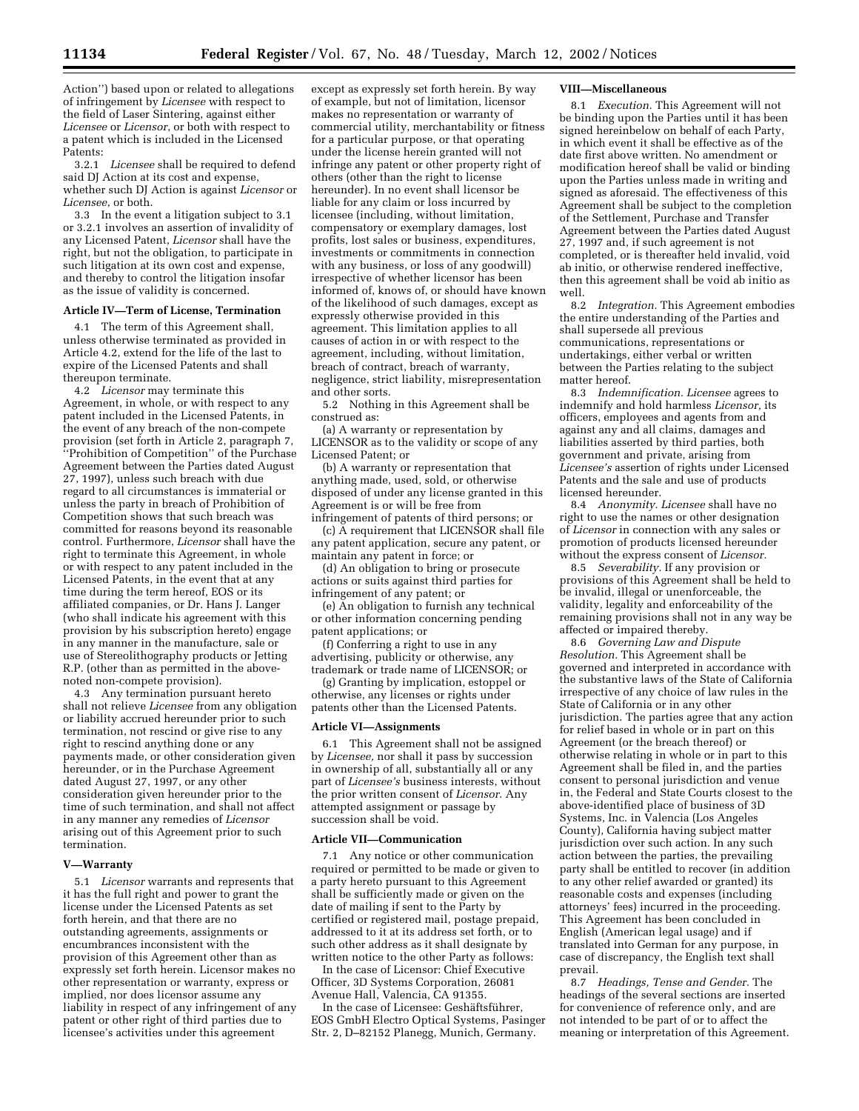Action'') based upon or related to allegations of infringement by *Licensee* with respect to the field of Laser Sintering, against either *Licensee* or *Licensor*, or both with respect to a patent which is included in the Licensed Patents:

3.2.1 *Licensee* shall be required to defend said DJ Action at its cost and expense, whether such DJ Action is against *Licensor* or *Licensee*, or both.

3.3 In the event a litigation subject to 3.1 or 3.2.1 involves an assertion of invalidity of any Licensed Patent, *Licensor* shall have the right, but not the obligation, to participate in such litigation at its own cost and expense, and thereby to control the litigation insofar as the issue of validity is concerned.

# **Article IV—Term of License, Termination**

4.1 The term of this Agreement shall, unless otherwise terminated as provided in Article 4.2, extend for the life of the last to expire of the Licensed Patents and shall thereupon terminate.

4.2 *Licensor* may terminate this Agreement, in whole, or with respect to any patent included in the Licensed Patents, in the event of any breach of the non-compete provision (set forth in Article 2, paragraph 7, ''Prohibition of Competition'' of the Purchase Agreement between the Parties dated August 27, 1997), unless such breach with due regard to all circumstances is immaterial or unless the party in breach of Prohibition of Competition shows that such breach was committed for reasons beyond its reasonable control. Furthermore, *Licensor* shall have the right to terminate this Agreement, in whole or with respect to any patent included in the Licensed Patents, in the event that at any time during the term hereof, EOS or its affiliated companies, or Dr. Hans J. Langer (who shall indicate his agreement with this provision by his subscription hereto) engage in any manner in the manufacture, sale or use of Stereolithography products or Jetting R.P. (other than as permitted in the abovenoted non-compete provision).

4.3 Any termination pursuant hereto shall not relieve *Licensee* from any obligation or liability accrued hereunder prior to such termination, not rescind or give rise to any right to rescind anything done or any payments made, or other consideration given hereunder, or in the Purchase Agreement dated August 27, 1997, or any other consideration given hereunder prior to the time of such termination, and shall not affect in any manner any remedies of *Licensor* arising out of this Agreement prior to such termination.

## **V—Warranty**

5.1 *Licensor* warrants and represents that it has the full right and power to grant the license under the Licensed Patents as set forth herein, and that there are no outstanding agreements, assignments or encumbrances inconsistent with the provision of this Agreement other than as expressly set forth herein. Licensor makes no other representation or warranty, express or implied, nor does licensor assume any liability in respect of any infringement of any patent or other right of third parties due to licensee's activities under this agreement

except as expressly set forth herein. By way of example, but not of limitation, licensor makes no representation or warranty of commercial utility, merchantability or fitness for a particular purpose, or that operating under the license herein granted will not infringe any patent or other property right of others (other than the right to license hereunder). In no event shall licensor be liable for any claim or loss incurred by licensee (including, without limitation, compensatory or exemplary damages, lost profits, lost sales or business, expenditures, investments or commitments in connection with any business, or loss of any goodwill) irrespective of whether licensor has been informed of, knows of, or should have known of the likelihood of such damages, except as expressly otherwise provided in this agreement. This limitation applies to all causes of action in or with respect to the agreement, including, without limitation, breach of contract, breach of warranty, negligence, strict liability, misrepresentation and other sorts.

5.2 Nothing in this Agreement shall be construed as:

(a) A warranty or representation by LICENSOR as to the validity or scope of any Licensed Patent; or

(b) A warranty or representation that anything made, used, sold, or otherwise disposed of under any license granted in this Agreement is or will be free from infringement of patents of third persons; or

(c) A requirement that LICENSOR shall file any patent application, secure any patent, or maintain any patent in force; or

(d) An obligation to bring or prosecute actions or suits against third parties for infringement of any patent; or

(e) An obligation to furnish any technical or other information concerning pending patent applications; or

(f) Conferring a right to use in any advertising, publicity or otherwise, any trademark or trade name of LICENSOR; or

(g) Granting by implication, estoppel or otherwise, any licenses or rights under patents other than the Licensed Patents.

#### **Article VI—Assignments**

6.1 This Agreement shall not be assigned by *Licensee,* nor shall it pass by succession in ownership of all, substantially all or any part of *Licensee's* business interests, without the prior written consent of *Licensor.* Any attempted assignment or passage by succession shall be void.

#### **Article VII—Communication**

7.1 Any notice or other communication required or permitted to be made or given to a party hereto pursuant to this Agreement shall be sufficiently made or given on the date of mailing if sent to the Party by certified or registered mail, postage prepaid, addressed to it at its address set forth, or to such other address as it shall designate by written notice to the other Party as follows:

In the case of Licensor: Chief Executive Officer, 3D Systems Corporation, 26081 Avenue Hall, Valencia, CA 91355.

In the case of Licensee: Geshäftsführer, EOS GmbH Electro Optical Systems, Pasinger Str. 2, D–82152 Planegg, Munich, Germany.

# **VIII—Miscellaneous**

8.1 *Execution.* This Agreement will not be binding upon the Parties until it has been signed hereinbelow on behalf of each Party, in which event it shall be effective as of the date first above written. No amendment or modification hereof shall be valid or binding upon the Parties unless made in writing and signed as aforesaid. The effectiveness of this Agreement shall be subject to the completion of the Settlement, Purchase and Transfer Agreement between the Parties dated August 27, 1997 and, if such agreement is not completed, or is thereafter held invalid, void ab initio, or otherwise rendered ineffective, then this agreement shall be void ab initio as well.

8.2 *Integration.* This Agreement embodies the entire understanding of the Parties and shall supersede all previous communications, representations or undertakings, either verbal or written between the Parties relating to the subject matter hereof.

8.3 *Indemnification. Licensee* agrees to indemnify and hold harmless *Licensor,* its officers, employees and agents from and against any and all claims, damages and liabilities asserted by third parties, both government and private, arising from *Licensee's* assertion of rights under Licensed Patents and the sale and use of products licensed hereunder.

8.4 *Anonymity. Licensee* shall have no right to use the names or other designation of *Licensor* in connection with any sales or promotion of products licensed hereunder without the express consent of *Licensor.*

8.5 *Severability.* If any provision or provisions of this Agreement shall be held to be invalid, illegal or unenforceable, the validity, legality and enforceability of the remaining provisions shall not in any way be affected or impaired thereby.

8.6 *Governing Law and Dispute Resolution.* This Agreement shall be governed and interpreted in accordance with the substantive laws of the State of California irrespective of any choice of law rules in the State of California or in any other jurisdiction. The parties agree that any action for relief based in whole or in part on this Agreement (or the breach thereof) or otherwise relating in whole or in part to this Agreement shall be filed in, and the parties consent to personal jurisdiction and venue in, the Federal and State Courts closest to the above-identified place of business of 3D Systems, Inc. in Valencia (Los Angeles County), California having subject matter jurisdiction over such action. In any such action between the parties, the prevailing party shall be entitled to recover (in addition to any other relief awarded or granted) its reasonable costs and expenses (including attorneys' fees) incurred in the proceeding. This Agreement has been concluded in English (American legal usage) and if translated into German for any purpose, in case of discrepancy, the English text shall prevail.

8.7 *Headings, Tense and Gender.* The headings of the several sections are inserted for convenience of reference only, and are not intended to be part of or to affect the meaning or interpretation of this Agreement.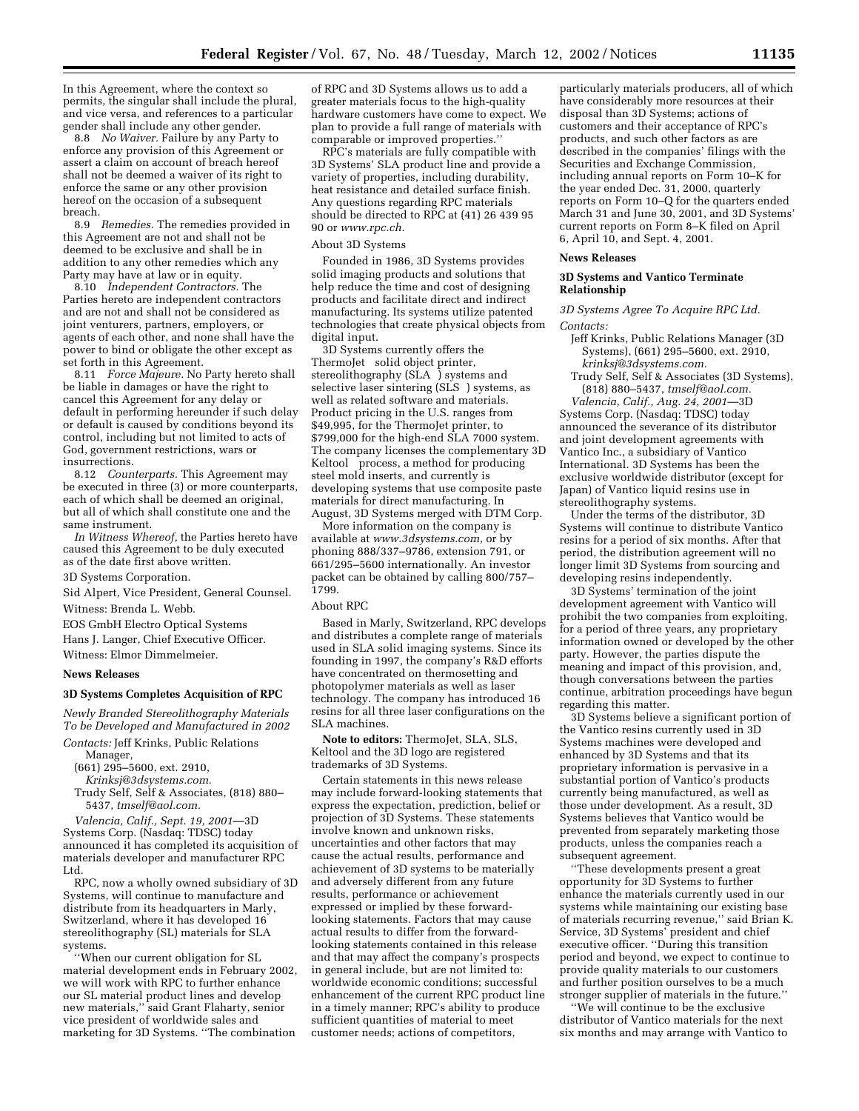In this Agreement, where the context so permits, the singular shall include the plural, and vice versa, and references to a particular gender shall include any other gender.

8.8 *No Waiver.* Failure by any Party to enforce any provision of this Agreement or assert a claim on account of breach hereof shall not be deemed a waiver of its right to enforce the same or any other provision hereof on the occasion of a subsequent breach.

8.9 *Remedies.* The remedies provided in this Agreement are not and shall not be deemed to be exclusive and shall be in addition to any other remedies which any Party may have at law or in equity.

8.10 *Independent Contractors.* The Parties hereto are independent contractors and are not and shall not be considered as joint venturers, partners, employers, or agents of each other, and none shall have the power to bind or obligate the other except as set forth in this Agreement.

8.11 *Force Majeure.* No Party hereto shall be liable in damages or have the right to cancel this Agreement for any delay or default in performing hereunder if such delay or default is caused by conditions beyond its control, including but not limited to acts of God, government restrictions, wars or insurrections.

8.12 *Counterparts.* This Agreement may be executed in three (3) or more counterparts, each of which shall be deemed an original, but all of which shall constitute one and the same instrument.

*In Witness Whereof,* the Parties hereto have caused this Agreement to be duly executed as of the date first above written.

3D Systems Corporation.

Sid Alpert, Vice President, General Counsel.

Witness: Brenda L. Webb.

EOS GmbH Electro Optical Systems

Hans J. Langer, Chief Executive Officer.

Witness: Elmor Dimmelmeier.

## **News Releases**

# **3D Systems Completes Acquisition of RPC**

*Newly Branded Stereolithography Materials To be Developed and Manufactured in 2002 Contacts:* Jeff Krinks, Public Relations

- Manager,
- (661) 295–5600, ext. 2910,
- *Krinksj@3dsystems.com.* Trudy Self, Self & Associates, (818) 880– 5437, *tmself@aol.com.*

*Valencia, Calif., Sept. 19, 2001*—3D Systems Corp. (Nasdaq: TDSC) today announced it has completed its acquisition of materials developer and manufacturer RPC Ltd.

RPC, now a wholly owned subsidiary of 3D Systems, will continue to manufacture and distribute from its headquarters in Marly, Switzerland, where it has developed 16 stereolithography (SL) materials for SLA<sup>®</sup> systems.

''When our current obligation for SL material development ends in February 2002, we will work with RPC to further enhance our SL material product lines and develop new materials,'' said Grant Flaharty, senior vice president of worldwide sales and marketing for 3D Systems. ''The combination

of RPC and 3D Systems allows us to add a greater materials focus to the high-quality hardware customers have come to expect. We plan to provide a full range of materials with comparable or improved properties.''

RPC's materials are fully compatible with 3D Systems' SLA product line and provide a variety of properties, including durability, heat resistance and detailed surface finish. Any questions regarding RPC materials should be directed to RPC at (41) 26 439 95 90 or *www.rpc.ch.*

# About 3D Systems

Founded in 1986, 3D Systems provides solid imaging products and solutions that help reduce the time and cost of designing products and facilitate direct and indirect manufacturing. Its systems utilize patented technologies that create physical objects from digital input.

3D Systems currently offers the ThermoJet<sup>®</sup> solid object printer, stereolithography  $(SLA^{\circledast})$  systems and selective laser sintering (SLS®) systems, as well as related software and materials. Product pricing in the U.S. ranges from \$49,995, for the ThermoJet printer, to \$799,000 for the high-end SLA 7000 system. The company licenses the complementary 3D Keltool<sup>®</sup> process, a method for producing steel mold inserts, and currently is developing systems that use composite paste materials for direct manufacturing. In August, 3D Systems merged with DTM Corp.

More information on the company is available at *www.3dsystems.com,* or by phoning 888/337–9786, extension 791, or 661/295–5600 internationally. An investor packet can be obtained by calling 800/757– 1799.

# About RPC

Based in Marly, Switzerland, RPC develops and distributes a complete range of materials used in SLA solid imaging systems. Since its founding in 1997, the company's R&D efforts have concentrated on thermosetting and photopolymer materials as well as laser technology. The company has introduced 16 resins for all three laser configurations on the SLA machines.

**Note to editors:** ThermoJet, SLA, SLS, Keltool and the 3D logo are registered trademarks of 3D Systems.

Certain statements in this news release may include forward-looking statements that express the expectation, prediction, belief or projection of 3D Systems. These statements involve known and unknown risks, uncertainties and other factors that may cause the actual results, performance and achievement of 3D systems to be materially and adversely different from any future results, performance or achievement expressed or implied by these forwardlooking statements. Factors that may cause actual results to differ from the forwardlooking statements contained in this release and that may affect the company's prospects in general include, but are not limited to: worldwide economic conditions; successful enhancement of the current RPC product line in a timely manner; RPC's ability to produce sufficient quantities of material to meet customer needs; actions of competitors,

particularly materials producers, all of which have considerably more resources at their disposal than 3D Systems; actions of customers and their acceptance of RPC's products, and such other factors as are described in the companies' filings with the Securities and Exchange Commission, including annual reports on Form 10–K for the year ended Dec. 31, 2000, quarterly reports on Form 10–Q for the quarters ended March 31 and June 30, 2001, and 3D Systems' current reports on Form 8–K filed on April 6, April 10, and Sept. 4, 2001.

#### **News Releases**

## **3D Systems and Vantico Terminate Relationship**

*3D Systems Agree To Acquire RPC Ltd. Contacts:*

- Jeff Krinks, Public Relations Manager (3D Systems), (661) 295–5600, ext. 2910, *krinksj@3dsystems.com.*
- Trudy Self, Self & Associates (3D Systems), (818) 880–5437, *tmself@aol.com.*

*Valencia, Calif., Aug. 24, 2001*—3D Systems Corp. (Nasdaq: TDSC) today announced the severance of its distributor and joint development agreements with Vantico Inc., a subsidiary of Vantico International. 3D Systems has been the exclusive worldwide distributor (except for Japan) of Vantico liquid resins use in stereolithography systems.

Under the terms of the distributor, 3D Systems will continue to distribute Vantico resins for a period of six months. After that period, the distribution agreement will no longer limit 3D Systems from sourcing and developing resins independently.

3D Systems' termination of the joint development agreement with Vantico will prohibit the two companies from exploiting, for a period of three years, any proprietary information owned or developed by the other party. However, the parties dispute the meaning and impact of this provision, and, though conversations between the parties continue, arbitration proceedings have begun regarding this matter.

3D Systems believe a significant portion of the Vantico resins currently used in 3D Systems machines were developed and enhanced by 3D Systems and that its proprietary information is pervasive in a substantial portion of Vantico's products currently being manufactured, as well as those under development. As a result, 3D Systems believes that Vantico would be prevented from separately marketing those products, unless the companies reach a subsequent agreement.

''These developments present a great opportunity for 3D Systems to further enhance the materials currently used in our systems while maintaining our existing base of materials recurring revenue,'' said Brian K. Service, 3D Systems' president and chief executive officer. ''During this transition period and beyond, we expect to continue to provide quality materials to our customers and further position ourselves to be a much stronger supplier of materials in the future.''

''We will continue to be the exclusive distributor of Vantico materials for the next six months and may arrange with Vantico to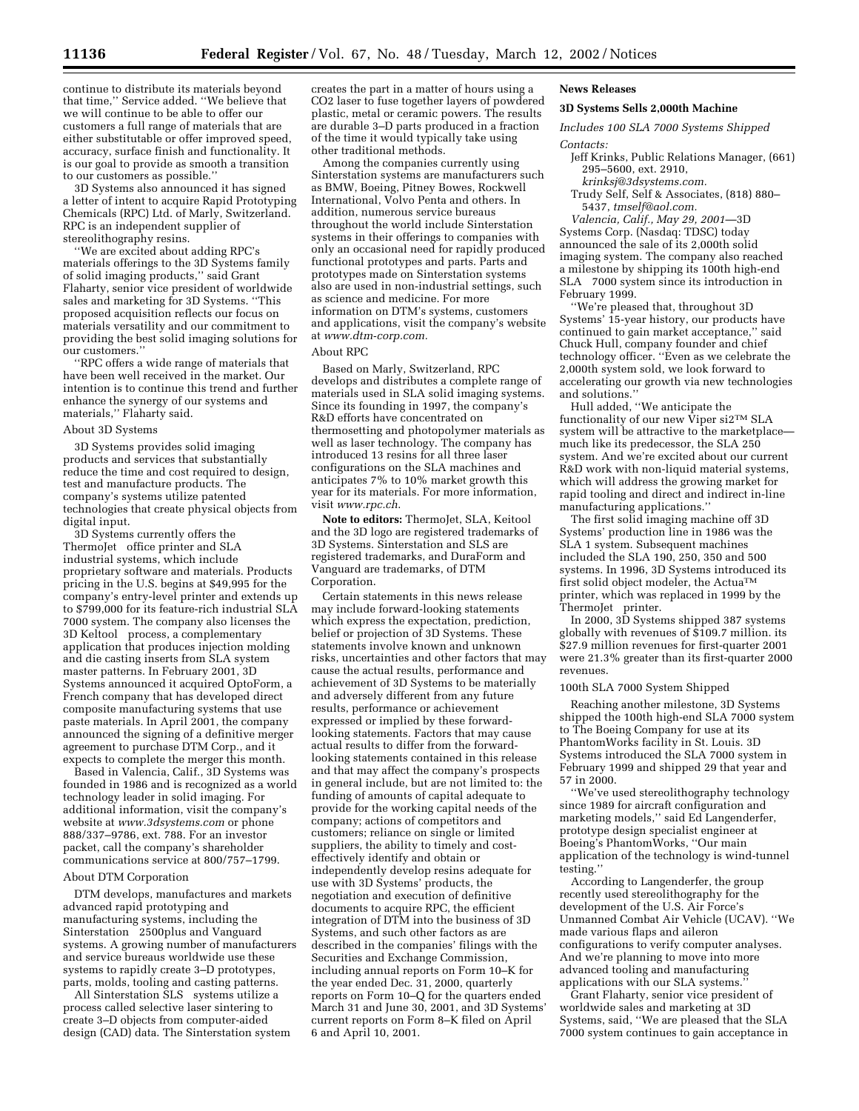continue to distribute its materials beyond that time,'' Service added. ''We believe that we will continue to be able to offer our customers a full range of materials that are either substitutable or offer improved speed, accuracy, surface finish and functionality. It is our goal to provide as smooth a transition to our customers as possible.''

3D Systems also announced it has signed a letter of intent to acquire Rapid Prototyping Chemicals (RPC) Ltd. of Marly, Switzerland. RPC is an independent supplier of stereolithography resins.

''We are excited about adding RPC's materials offerings to the 3D Systems family of solid imaging products,'' said Grant Flaharty, senior vice president of worldwide sales and marketing for 3D Systems. ''This proposed acquisition reflects our focus on materials versatility and our commitment to providing the best solid imaging solutions for our customers.''

'RPC offers a wide range of materials that have been well received in the market. Our intention is to continue this trend and further enhance the synergy of our systems and materials,'' Flaharty said.

# About 3D Systems

3D Systems provides solid imaging products and services that substantially reduce the time and cost required to design, test and manufacture products. The company's systems utilize patented technologies that create physical objects from digital input.

3D Systems currently offers the ThermoJet<sup>®</sup> office printer and SLA® industrial systems, which include proprietary software and materials. Products pricing in the U.S. begins at \$49,995 for the company's entry-level printer and extends up to \$799,000 for its feature-rich industrial SLA 7000 system. The company also licenses the 3D Keltool<sup>®</sup> process, a complementary application that produces injection molding and die casting inserts from SLA system master patterns. In February 2001, 3D Systems announced it acquired OptoForm, a French company that has developed direct composite manufacturing systems that use paste materials. In April 2001, the company announced the signing of a definitive merger agreement to purchase DTM Corp., and it expects to complete the merger this month.

Based in Valencia, Calif., 3D Systems was founded in 1986 and is recognized as a world technology leader in solid imaging. For additional information, visit the company's website at *www.3dsystems.com* or phone 888/337–9786, ext. 788. For an investor packet, call the company's shareholder communications service at 800/757–1799.

# About DTM Corporation

DTM develops, manufactures and markets advanced rapid prototyping and manufacturing systems, including the Sinterstation<sup>®</sup> 2500plus and Vanguard systems. A growing number of manufacturers and service bureaus worldwide use these systems to rapidly create 3–D prototypes, parts, molds, tooling and casting patterns.

All Sinterstation SLS® systems utilize a process called selective laser sintering to create 3–D objects from computer-aided design (CAD) data. The Sinterstation system

creates the part in a matter of hours using a CO2 laser to fuse together layers of powdered plastic, metal or ceramic powers. The results are durable 3–D parts produced in a fraction of the time it would typically take using other traditional methods.

Among the companies currently using Sinterstation systems are manufacturers such as BMW, Boeing, Pitney Bowes, Rockwell International, Volvo Penta and others. In addition, numerous service bureaus throughout the world include Sinterstation systems in their offerings to companies with only an occasional need for rapidly produced functional prototypes and parts. Parts and prototypes made on Sinterstation systems also are used in non-industrial settings, such as science and medicine. For more information on DTM's systems, customers and applications, visit the company's website at *www.dtm-corp.com.*

## About RPC

Based on Marly, Switzerland, RPC develops and distributes a complete range of materials used in SLA solid imaging systems. Since its founding in 1997, the company's R&D efforts have concentrated on thermosetting and photopolymer materials as well as laser technology. The company has introduced 13 resins for all three laser configurations on the SLA machines and anticipates 7% to 10% market growth this year for its materials. For more information, visit *www.rpc.ch*.

**Note to editors:** ThermoJet, SLA, Keitool and the 3D logo are registered trademarks of 3D Systems. Sinterstation and SLS are registered trademarks, and DuraForm and Vanguard are trademarks, of DTM Corporation.

Certain statements in this news release may include forward-looking statements which express the expectation, prediction, belief or projection of 3D Systems. These statements involve known and unknown risks, uncertainties and other factors that may cause the actual results, performance and achievement of 3D Systems to be materially and adversely different from any future results, performance or achievement expressed or implied by these forwardlooking statements. Factors that may cause actual results to differ from the forwardlooking statements contained in this release and that may affect the company's prospects in general include, but are not limited to: the funding of amounts of capital adequate to provide for the working capital needs of the company; actions of competitors and customers; reliance on single or limited suppliers, the ability to timely and costeffectively identify and obtain or independently develop resins adequate for use with 3D Systems' products, the negotiation and execution of definitive documents to acquire RPC, the efficient integration of DTM into the business of 3D Systems, and such other factors as are described in the companies' filings with the Securities and Exchange Commission, including annual reports on Form 10–K for the year ended Dec. 31, 2000, quarterly reports on Form 10–Q for the quarters ended March 31 and June 30, 2001, and 3D Systems' current reports on Form 8–K filed on April 6 and April 10, 2001.

# **News Releases**

# **3D Systems Sells 2,000th Machine**

*Includes 100 SLA 7000 Systems Shipped Contacts:*

- Jeff Krinks, Public Relations Manager, (661) 295–5600, ext. 2910,
- *krinksj@3dsystems.com.*
- Trudy Self, Self & Associates, (818) 880– 5437, *tmself@aol.com.*

*Valencia, Calif., May 29, 2001*—3D Systems Corp. (Nasdaq: TDSC) today announced the sale of its 2,000th solid imaging system. The company also reached a milestone by shipping its 100th high-end SLA<sup>®</sup> 7000 system since its introduction in February 1999.

''We're pleased that, throughout 3D Systems' 15-year history, our products have continued to gain market acceptance,'' said Chuck Hull, company founder and chief technology officer. ''Even as we celebrate the 2,000th system sold, we look forward to accelerating our growth via new technologies and solutions.''

Hull added, ''We anticipate the functionality of our new Viper si $2^{TM}$  SLA system will be attractive to the marketplace much like its predecessor, the SLA 250 system. And we're excited about our current R&D work with non-liquid material systems, which will address the growing market for rapid tooling and direct and indirect in-line manufacturing applications.''

The first solid imaging machine off 3D Systems' production line in 1986 was the SLA 1 system. Subsequent machines included the SLA 190, 250, 350 and 500 systems. In 1996, 3D Systems introduced its first solid object modeler, the Actua<sup>TM</sup> printer, which was replaced in 1999 by the ThermoJet<sup>®</sup> printer.

In 2000, 3D Systems shipped 387 systems globally with revenues of \$109.7 million. its \$27.9 million revenues for first-quarter 2001 were 21.3% greater than its first-quarter 2000 revenues.

## 100th SLA 7000 System Shipped

Reaching another milestone, 3D Systems shipped the 100th high-end SLA 7000 system to The Boeing Company for use at its PhantomWorks facility in St. Louis. 3D Systems introduced the SLA 7000 system in February 1999 and shipped 29 that year and 57 in 2000.

''We've used stereolithography technology since 1989 for aircraft configuration and marketing models,'' said Ed Langenderfer, prototype design specialist engineer at Boeing's PhantomWorks, ''Our main application of the technology is wind-tunnel testing.''

According to Langenderfer, the group recently used stereolithography for the development of the U.S. Air Force's Unmanned Combat Air Vehicle (UCAV). ''We made various flaps and aileron configurations to verify computer analyses. And we're planning to move into more advanced tooling and manufacturing applications with our SLA systems.

Grant Flaharty, senior vice president of worldwide sales and marketing at 3D Systems, said, ''We are pleased that the SLA 7000 system continues to gain acceptance in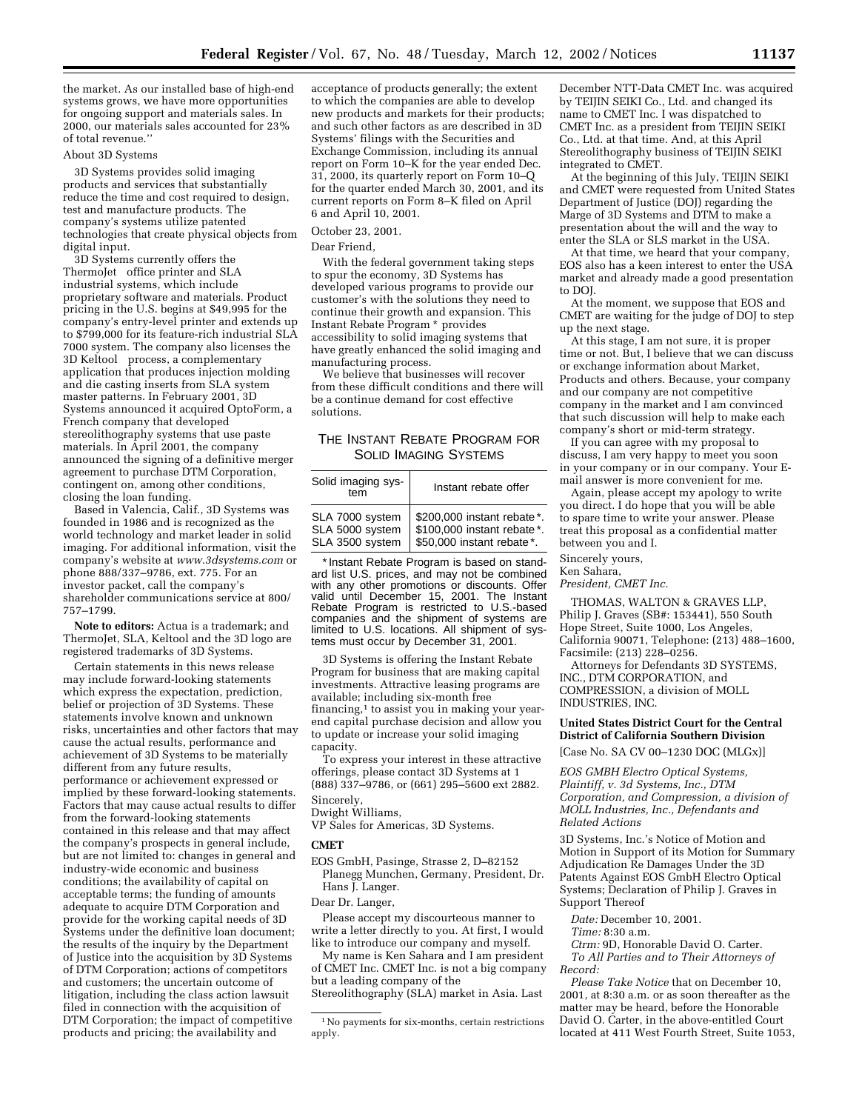the market. As our installed base of high-end systems grows, we have more opportunities for ongoing support and materials sales. In 2000, our materials sales accounted for 23% of total revenue.''

## About 3D Systems

3D Systems provides solid imaging products and services that substantially reduce the time and cost required to design, test and manufacture products. The company's systems utilize patented technologies that create physical objects from digital input.

3D Systems currently offers the ThermoJet<sup>®</sup> office printer and SLA® industrial systems, which include proprietary software and materials. Product pricing in the U.S. begins at \$49,995 for the company's entry-level printer and extends up to \$799,000 for its feature-rich industrial SLA 7000 system. The company also licenses the 3D Keltool<sup>®</sup> process, a complementary application that produces injection molding and die casting inserts from SLA system master patterns. In February 2001, 3D Systems announced it acquired OptoForm, a French company that developed stereolithography systems that use paste materials. In April 2001, the company announced the signing of a definitive merger agreement to purchase DTM Corporation, contingent on, among other conditions, closing the loan funding.

Based in Valencia, Calif., 3D Systems was founded in 1986 and is recognized as the world technology and market leader in solid imaging. For additional information, visit the company's website at *www.3dsystems.com* or phone 888/337–9786, ext. 775. For an investor packet, call the company's shareholder communications service at 800/ 757–1799.

**Note to editors:** Actua is a trademark; and ThermoJet, SLA, Keltool and the 3D logo are registered trademarks of 3D Systems.

Certain statements in this news release may include forward-looking statements which express the expectation, prediction, belief or projection of 3D Systems. These statements involve known and unknown risks, uncertainties and other factors that may cause the actual results, performance and achievement of 3D Systems to be materially different from any future results, performance or achievement expressed or implied by these forward-looking statements. Factors that may cause actual results to differ from the forward-looking statements contained in this release and that may affect the company's prospects in general include, but are not limited to: changes in general and industry-wide economic and business conditions; the availability of capital on acceptable terms; the funding of amounts adequate to acquire DTM Corporation and provide for the working capital needs of 3D Systems under the definitive loan document; the results of the inquiry by the Department of Justice into the acquisition by 3D Systems of DTM Corporation; actions of competitors and customers; the uncertain outcome of litigation, including the class action lawsuit filed in connection with the acquisition of DTM Corporation; the impact of competitive products and pricing; the availability and

acceptance of products generally; the extent to which the companies are able to develop new products and markets for their products; and such other factors as are described in 3D Systems' filings with the Securities and Exchange Commission, including its annual report on Form 10–K for the year ended Dec. 31, 2000, its quarterly report on Form 10–Q for the quarter ended March 30, 2001, and its current reports on Form 8–K filed on April 6 and April 10, 2001.

# October 23, 2001.

Dear Friend,

With the federal government taking steps to spur the economy, 3D Systems has developed various programs to provide our customer's with the solutions they need to continue their growth and expansion. This Instant Rebate Program \* provides accessibility to solid imaging systems that have greatly enhanced the solid imaging and manufacturing process.

We believe that businesses will recover from these difficult conditions and there will be a continue demand for cost effective solutions.

# THE INSTANT REBATE PROGRAM FOR SOLID IMAGING SYSTEMS

| Solid imaging sys-<br>tem | Instant rebate offer        |
|---------------------------|-----------------------------|
| SLA 7000 system           | \$200,000 instant rebate*.  |
| SLA 5000 system           | \$100,000 instant rebate *. |
| SLA 3500 system           | \$50,000 instant rebate*.   |

\* Instant Rebate Program is based on standard list U.S. prices, and may not be combined with any other promotions or discounts. Offer valid until December 15, 2001. The Instant Rebate Program is restricted to U.S.-based companies and the shipment of systems are limited to U.S. locations. All shipment of systems must occur by December 31, 2001.

3D Systems is offering the Instant Rebate Program for business that are making capital investments. Attractive leasing programs are available; including six-month free financing,1 to assist you in making your yearend capital purchase decision and allow you to update or increase your solid imaging capacity.

To express your interest in these attractive offerings, please contact 3D Systems at 1 (888) 337–9786, or (661) 295–5600 ext 2882. Sincerely, Dwight Williams,

VP Sales for Americas, 3D Systems.

## **CMET**

EOS GmbH, Pasinge, Strasse 2, D–82152 Planegg Munchen, Germany, President, Dr. Hans J. Langer.

Dear Dr. Langer,

Please accept my discourteous manner to write a letter directly to you. At first, I would like to introduce our company and myself.

My name is Ken Sahara and I am president of CMET Inc. CMET Inc. is not a big company but a leading company of the

Stereolithography (SLA) market in Asia. Last

December NTT-Data CMET Inc. was acquired by TEIJIN SEIKI Co., Ltd. and changed its name to CMET Inc. I was dispatched to CMET Inc. as a president from TEIJIN SEIKI Co., Ltd. at that time. And, at this April Stereolithography business of TEIJIN SEIKI integrated to CMET.

At the beginning of this July, TEIJIN SEIKI and CMET were requested from United States Department of Justice (DOJ) regarding the Marge of 3D Systems and DTM to make a presentation about the will and the way to enter the SLA or SLS market in the USA.

At that time, we heard that your company, EOS also has a keen interest to enter the USA market and already made a good presentation to DOJ.

At the moment, we suppose that EOS and CMET are waiting for the judge of DOJ to step up the next stage.

At this stage, I am not sure, it is proper time or not. But, I believe that we can discuss or exchange information about Market, Products and others. Because, your company and our company are not competitive company in the market and I am convinced that such discussion will help to make each company's short or mid-term strategy.

If you can agree with my proposal to discuss, I am very happy to meet you soon in your company or in our company. Your Email answer is more convenient for me.

Again, please accept my apology to write you direct. I do hope that you will be able to spare time to write your answer. Please treat this proposal as a confidential matter between you and I.

Sincerely yours,

Ken Sahara,

*President, CMET Inc.*

THOMAS, WALTON & GRAVES LLP, Philip J. Graves (SB#: 153441), 550 South Hope Street, Suite 1000, Los Angeles, California 90071, Telephone: (213) 488–1600, Facsimile: (213) 228–0256.

Attorneys for Defendants 3D SYSTEMS, INC., DTM CORPORATION, and COMPRESSION, a division of MOLL INDUSTRIES, INC.

# **United States District Court for the Central District of California Southern Division**

[Case No. SA CV 00–1230 DOC (MLGx)]

*EOS GMBH Electro Optical Systems, Plaintiff, v. 3d Systems, Inc., DTM Corporation, and Compression, a division of MOLL Industries, Inc., Defendants and Related Actions*

3D Systems, Inc.'s Notice of Motion and Motion in Support of its Motion for Summary Adjudication Re Damages Under the 3D Patents Against EOS GmbH Electro Optical Systems; Declaration of Philip J. Graves in Support Thereof

*Date:* December 10, 2001.

*Time:* 8:30 a.m.

*Ctrm:* 9D, Honorable David O. Carter. *To All Parties and to Their Attorneys of Record:*

*Please Take Notice* that on December 10, 2001, at 8:30 a.m. or as soon thereafter as the matter may be heard, before the Honorable David O. Carter, in the above-entitled Court located at 411 West Fourth Street, Suite 1053,

<sup>1</sup>No payments for six-months, certain restrictions apply.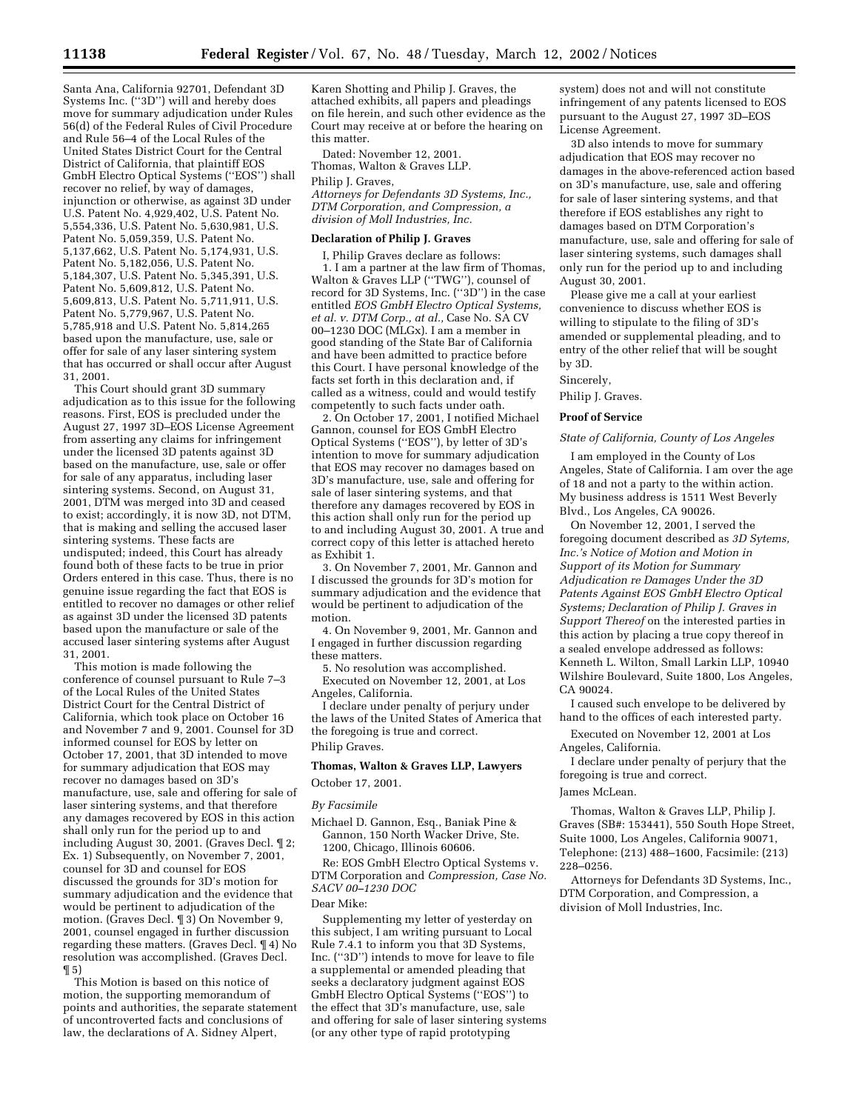Santa Ana, California 92701, Defendant 3D Systems Inc. (''3D'') will and hereby does move for summary adjudication under Rules 56(d) of the Federal Rules of Civil Procedure and Rule 56–4 of the Local Rules of the United States District Court for the Central District of California, that plaintiff EOS GmbH Electro Optical Systems (''EOS'') shall recover no relief, by way of damages, injunction or otherwise, as against 3D under U.S. Patent No. 4,929,402, U.S. Patent No. 5,554,336, U.S. Patent No. 5,630,981, U.S. Patent No. 5,059,359, U.S. Patent No. 5,137,662, U.S. Patent No. 5,174,931, U.S. Patent No. 5,182,056, U.S. Patent No. 5,184,307, U.S. Patent No. 5,345,391, U.S. Patent No. 5,609,812, U.S. Patent No. 5,609,813, U.S. Patent No. 5,711,911, U.S. Patent No. 5,779,967, U.S. Patent No. 5,785,918 and U.S. Patent No. 5,814,265 based upon the manufacture, use, sale or offer for sale of any laser sintering system that has occurred or shall occur after August 31, 2001.

This Court should grant 3D summary adjudication as to this issue for the following reasons. First, EOS is precluded under the August 27, 1997 3D–EOS License Agreement from asserting any claims for infringement under the licensed 3D patents against 3D based on the manufacture, use, sale or offer for sale of any apparatus, including laser sintering systems. Second, on August 31, 2001, DTM was merged into 3D and ceased to exist; accordingly, it is now 3D, not DTM, that is making and selling the accused laser sintering systems. These facts are undisputed; indeed, this Court has already found both of these facts to be true in prior Orders entered in this case. Thus, there is no genuine issue regarding the fact that EOS is entitled to recover no damages or other relief as against 3D under the licensed 3D patents based upon the manufacture or sale of the accused laser sintering systems after August 31, 2001.

This motion is made following the conference of counsel pursuant to Rule 7-3 of the Local Rules of the United States District Court for the Central District of California, which took place on October 16 and November 7 and 9, 2001. Counsel for 3D informed counsel for EOS by letter on October 17, 2001, that 3D intended to move for summary adjudication that EOS may recover no damages based on 3D's manufacture, use, sale and offering for sale of laser sintering systems, and that therefore any damages recovered by EOS in this action shall only run for the period up to and including August 30, 2001. (Graves Decl. ¶ 2; Ex. 1) Subsequently, on November 7, 2001, counsel for 3D and counsel for EOS discussed the grounds for 3D's motion for summary adjudication and the evidence that would be pertinent to adjudication of the motion. (Graves Decl. ¶ 3) On November 9, 2001, counsel engaged in further discussion regarding these matters. (Graves Decl. ¶ 4) No resolution was accomplished. (Graves Decl.  $\P5$ 

This Motion is based on this notice of motion, the supporting memorandum of points and authorities, the separate statement of uncontroverted facts and conclusions of law, the declarations of A. Sidney Alpert,

Karen Shotting and Philip J. Graves, the attached exhibits, all papers and pleadings on file herein, and such other evidence as the Court may receive at or before the hearing on this matter.

Dated: November 12, 2001. Thomas, Walton & Graves LLP. Philip J. Graves,

*Attorneys for Defendants 3D Systems, Inc., DTM Corporation, and Compression, a division of Moll Industries, Inc.*

## **Declaration of Philip J. Graves**

I, Philip Graves declare as follows: 1. I am a partner at the law firm of Thomas, Walton & Graves LLP (''TWG''), counsel of record for 3D Systems, Inc. (''3D'') in the case entitled *EOS GmbH Electro Optical Systems, et al. v. DTM Corp., at al.,* Case No. SA CV 00–1230 DOC (MLGx). I am a member in good standing of the State Bar of California and have been admitted to practice before this Court. I have personal knowledge of the facts set forth in this declaration and, if called as a witness, could and would testify competently to such facts under oath.

2. On October 17, 2001, I notified Michael Gannon, counsel for EOS GmbH Electro Optical Systems (''EOS''), by letter of 3D's intention to move for summary adjudication that EOS may recover no damages based on 3D's manufacture, use, sale and offering for sale of laser sintering systems, and that therefore any damages recovered by EOS in this action shall only run for the period up to and including August 30, 2001. A true and correct copy of this letter is attached hereto as Exhibit 1.

3. On November 7, 2001, Mr. Gannon and I discussed the grounds for 3D's motion for summary adjudication and the evidence that would be pertinent to adjudication of the motion.

4. On November 9, 2001, Mr. Gannon and I engaged in further discussion regarding these matters.

5. No resolution was accomplished. Executed on November 12, 2001, at Los Angeles, California.

I declare under penalty of perjury under the laws of the United States of America that the foregoing is true and correct. Philip Graves.

# **Thomas, Walton & Graves LLP, Lawyers** October 17, 2001.

*By Facsimile*

Michael D. Gannon, Esq., Baniak Pine & Gannon, 150 North Wacker Drive, Ste. 1200, Chicago, Illinois 60606.

Re: EOS GmbH Electro Optical Systems v. DTM Corporation and *Compression, Case No. SACV 00–1230 DOC*

# Dear Mike:

Supplementing my letter of yesterday on this subject, I am writing pursuant to Local Rule 7.4.1 to inform you that 3D Systems, Inc. (''3D'') intends to move for leave to file a supplemental or amended pleading that seeks a declaratory judgment against EOS GmbH Electro Optical Systems (''EOS'') to the effect that 3D's manufacture, use, sale and offering for sale of laser sintering systems (or any other type of rapid prototyping

system) does not and will not constitute infringement of any patents licensed to EOS pursuant to the August 27, 1997 3D–EOS License Agreement.

3D also intends to move for summary adjudication that EOS may recover no damages in the above-referenced action based on 3D's manufacture, use, sale and offering for sale of laser sintering systems, and that therefore if EOS establishes any right to damages based on DTM Corporation's manufacture, use, sale and offering for sale of laser sintering systems, such damages shall only run for the period up to and including August 30, 2001.

Please give me a call at your earliest convenience to discuss whether EOS is willing to stipulate to the filing of 3D's amended or supplemental pleading, and to entry of the other relief that will be sought by 3D.

## Sincerely,

Philip J. Graves.

# **Proof of Service**

# *State of California, County of Los Angeles*

I am employed in the County of Los Angeles, State of California. I am over the age of 18 and not a party to the within action. My business address is 1511 West Beverly Blvd., Los Angeles, CA 90026.

On November 12, 2001, I served the foregoing document described as *3D Sytems, Inc.'s Notice of Motion and Motion in Support of its Motion for Summary Adjudication re Damages Under the 3D Patents Against EOS GmbH Electro Optical Systems; Declaration of Philip J. Graves in Support Thereof* on the interested parties in this action by placing a true copy thereof in a sealed envelope addressed as follows: Kenneth L. Wilton, Small Larkin LLP, 10940 Wilshire Boulevard, Suite 1800, Los Angeles, CA 90024.

I caused such envelope to be delivered by hand to the offices of each interested party.

Executed on November 12, 2001 at Los Angeles, California.

I declare under penalty of perjury that the foregoing is true and correct.

# James McLean.

Thomas, Walton & Graves LLP, Philip J. Graves (SB#: 153441), 550 South Hope Street, Suite 1000, Los Angeles, California 90071, Telephone: (213) 488–1600, Facsimile: (213) 228–0256.

Attorneys for Defendants 3D Systems, Inc., DTM Corporation, and Compression, a division of Moll Industries, Inc.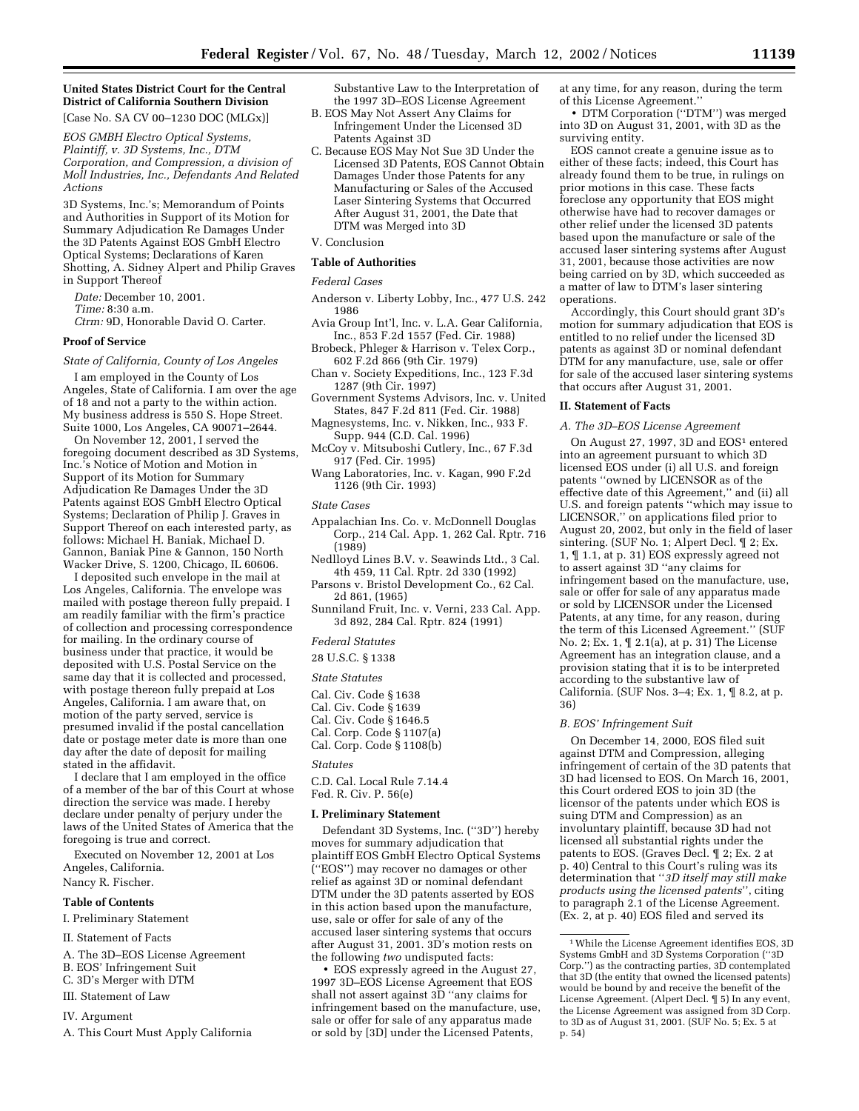# **United States District Court for the Central District of California Southern Division**

[Case No. SA CV 00–1230 DOC (MLGx)]

*EOS GMBH Electro Optical Systems, Plaintiff, v. 3D Systems, Inc., DTM Corporation, and Compression, a division of Moll Industries, Inc., Defendants And Related Actions*

3D Systems, Inc.'s; Memorandum of Points and Authorities in Support of its Motion for Summary Adjudication Re Damages Under the 3D Patents Against EOS GmbH Electro Optical Systems; Declarations of Karen Shotting, A. Sidney Alpert and Philip Graves in Support Thereof

*Date:* December 10, 2001. *Time:* 8:30 a.m. *Ctrm:* 9D, Honorable David O. Carter.

# **Proof of Service**

*State of California, County of Los Angeles*

I am employed in the County of Los Angeles, State of California. I am over the age of 18 and not a party to the within action. My business address is 550 S. Hope Street. Suite 1000, Los Angeles, CA 90071–2644.

On November 12, 2001, I served the foregoing document described as 3D Systems, Inc.'s Notice of Motion and Motion in Support of its Motion for Summary Adjudication Re Damages Under the 3D Patents against EOS GmbH Electro Optical Systems; Declaration of Philip J. Graves in Support Thereof on each interested party, as follows: Michael H. Baniak, Michael D. Gannon, Baniak Pine & Gannon, 150 North Wacker Drive, S. 1200, Chicago, IL 60606.

I deposited such envelope in the mail at Los Angeles, California. The envelope was mailed with postage thereon fully prepaid. I am readily familiar with the firm's practice of collection and processing correspondence for mailing. In the ordinary course of business under that practice, it would be deposited with U.S. Postal Service on the same day that it is collected and processed, with postage thereon fully prepaid at Los Angeles, California. I am aware that, on motion of the party served, service is presumed invalid if the postal cancellation date or postage meter date is more than one day after the date of deposit for mailing stated in the affidavit.

I declare that I am employed in the office of a member of the bar of this Court at whose direction the service was made. I hereby declare under penalty of perjury under the laws of the United States of America that the foregoing is true and correct.

Executed on November 12, 2001 at Los Angeles, California.

## Nancy R. Fischer.

# **Table of Contents**

I. Preliminary Statement

- II. Statement of Facts
- A. The 3D–EOS License Agreement
- B. EOS' Infringement Suit
- C. 3D's Merger with DTM
- III. Statement of Law
- IV. Argument
- A. This Court Must Apply California

Substantive Law to the Interpretation of the 1997 3D–EOS License Agreement

- B. EOS May Not Assert Any Claims for Infringement Under the Licensed 3D Patents Against 3D
- C. Because EOS May Not Sue 3D Under the Licensed 3D Patents, EOS Cannot Obtain Damages Under those Patents for any Manufacturing or Sales of the Accused Laser Sintering Systems that Occurred After August 31, 2001, the Date that DTM was Merged into 3D

# V. Conclusion

# **Table of Authorities**

*Federal Cases*

- Anderson v. Liberty Lobby, Inc., 477 U.S. 242 1986
- Avia Group Int'l, Inc. v. L.A. Gear California, Inc., 853 F.2d 1557 (Fed. Cir. 1988)
- Brobeck, Phleger & Harrison v. Telex Corp., 602 F.2d 866 (9th Cir. 1979)
- Chan v. Society Expeditions, Inc., 123 F.3d 1287 (9th Cir. 1997)
- Government Systems Advisors, Inc. v. United States, 847 F.2d 811 (Fed. Cir. 1988)
- Magnesystems, Inc. v. Nikken, Inc., 933 F. Supp. 944 (C.D. Cal. 1996)
- McCoy v. Mitsuboshi Cutlery, Inc., 67 F.3d 917 (Fed. Cir. 1995)
- Wang Laboratories, Inc. v. Kagan, 990 F.2d 1126 (9th Cir. 1993)

#### *State Cases*

- Appalachian Ins. Co. v. McDonnell Douglas Corp., 214 Cal. App. 1, 262 Cal. Rptr. 716 (1989)
- Nedlloyd Lines B.V. v. Seawinds Ltd., 3 Cal. 4th 459, 11 Cal. Rptr. 2d 330 (1992)
- Parsons v. Bristol Development Co., 62 Cal. 2d 861, (1965)
- Sunniland Fruit, Inc. v. Verni, 233 Cal. App. 3d 892, 284 Cal. Rptr. 824 (1991)

# *Federal Statutes*

28 U.S.C. § 1338

*State Statutes*

- Cal. Civ. Code § 1638
- Cal. Civ. Code § 1639
- Cal. Civ. Code § 1646.5
- Cal. Corp. Code § 1107(a) Cal. Corp. Code § 1108(b)

#### *Statutes*

C.D. Cal. Local Rule 7.14.4 Fed. R. Civ. P. 56(e)

## **I. Preliminary Statement**

Defendant 3D Systems, Inc. (''3D'') hereby moves for summary adjudication that plaintiff EOS GmbH Electro Optical Systems (''EOS'') may recover no damages or other relief as against 3D or nominal defendant DTM under the 3D patents asserted by EOS in this action based upon the manufacture, use, sale or offer for sale of any of the accused laser sintering systems that occurs after August 31, 2001. 3D's motion rests on the following *two* undisputed facts:

• EOS expressly agreed in the August 27, 1997 3D–EOS License Agreement that EOS shall not assert against  $3\bar{D}$  "any claims for infringement based on the manufacture, use, sale or offer for sale of any apparatus made or sold by [3D] under the Licensed Patents,

at any time, for any reason, during the term of this License Agreement.''

• DTM Corporation (''DTM'') was merged into 3D on August 31, 2001, with 3D as the surviving entity.

EOS cannot create a genuine issue as to either of these facts; indeed, this Court has already found them to be true, in rulings on prior motions in this case. These facts foreclose any opportunity that EOS might otherwise have had to recover damages or other relief under the licensed 3D patents based upon the manufacture or sale of the accused laser sintering systems after August 31, 2001, because those activities are now being carried on by 3D, which succeeded as a matter of law to DTM's laser sintering operations.

Accordingly, this Court should grant 3D's motion for summary adjudication that EOS is entitled to no relief under the licensed 3D patents as against 3D or nominal defendant DTM for any manufacture, use, sale or offer for sale of the accused laser sintering systems that occurs after August 31, 2001.

## **II. Statement of Facts**

## *A. The 3D–EOS License Agreement*

On August 27, 1997, 3D and EOS<sup>1</sup> entered into an agreement pursuant to which 3D licensed EOS under (i) all U.S. and foreign patents ''owned by LICENSOR as of the effective date of this Agreement,'' and (ii) all U.S. and foreign patents ''which may issue to LICENSOR,'' on applications filed prior to August 20, 2002, but only in the field of laser sintering. (SUF No. 1; Alpert Decl. ¶ 2; Ex. 1, ¶ 1.1, at p. 31) EOS expressly agreed not to assert against 3D ''any claims for infringement based on the manufacture, use, sale or offer for sale of any apparatus made or sold by LICENSOR under the Licensed Patents, at any time, for any reason, during the term of this Licensed Agreement.'' (SUF No. 2; Ex. 1, ¶ 2.1(a), at p. 31) The License Agreement has an integration clause, and a provision stating that it is to be interpreted according to the substantive law of California. (SUF Nos. 3–4; Ex. 1, ¶ 8.2, at p. 36)

## *B. EOS' Infringement Suit*

On December 14, 2000, EOS filed suit against DTM and Compression, alleging infringement of certain of the 3D patents that 3D had licensed to EOS. On March 16, 2001, this Court ordered EOS to join 3D (the licensor of the patents under which EOS is suing DTM and Compression) as an involuntary plaintiff, because 3D had not licensed all substantial rights under the patents to EOS. (Graves Decl. ¶ 2; Ex. 2 at p. 40) Central to this Court's ruling was its determination that ''*3D itself may still make products using the licensed patents*'', citing to paragraph 2.1 of the License Agreement. (Ex. 2, at p. 40) EOS filed and served its

<sup>1</sup>While the License Agreement identifies EOS, 3D Systems GmbH and 3D Systems Corporation (''3D Corp.'') as the contracting parties, 3D contemplated that 3D (the entity that owned the licensed patents) would be bound by and receive the benefit of the License Agreement. (Alpert Decl. ¶ 5) In any event, the License Agreement was assigned from 3D Corp. to 3D as of August 31, 2001. (SUF No. 5; Ex. 5 at p. 54)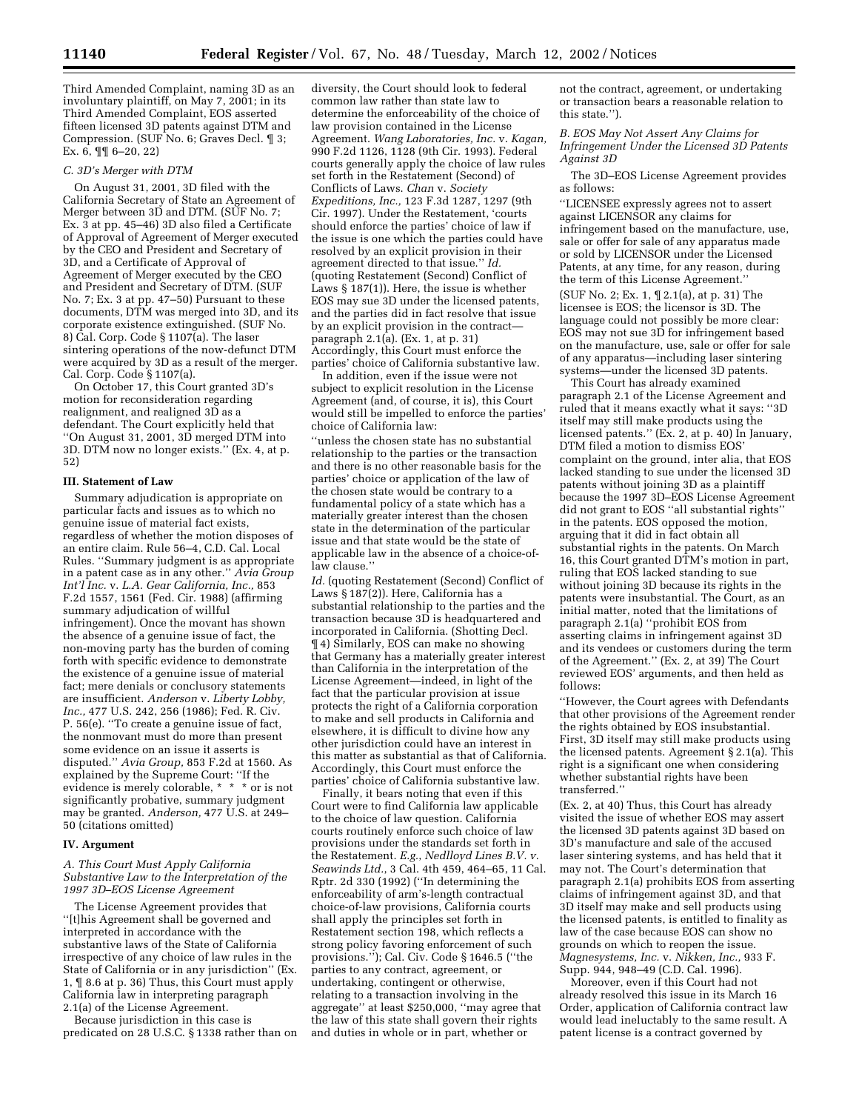Third Amended Complaint, naming 3D as an involuntary plaintiff, on May 7, 2001; in its Third Amended Complaint, EOS asserted fifteen licensed 3D patents against DTM and Compression. (SUF No. 6; Graves Decl. ¶ 3; Ex. 6, ¶¶ 6–20, 22)

# *C. 3D's Merger with DTM*

On August 31, 2001, 3D filed with the California Secretary of State an Agreement of Merger between 3D and DTM. (SUF No. 7; Ex. 3 at pp. 45–46) 3D also filed a Certificate of Approval of Agreement of Merger executed by the CEO and President and Secretary of 3D, and a Certificate of Approval of Agreement of Merger executed by the CEO and President and Secretary of DTM. (SUF No. 7; Ex. 3 at pp. 47–50) Pursuant to these documents, DTM was merged into 3D, and its corporate existence extinguished. (SUF No. 8) Cal. Corp. Code § 1107(a). The laser sintering operations of the now-defunct DTM were acquired by 3D as a result of the merger. Cal. Corp. Code § 1107(a).

On October 17, this Court granted 3D's motion for reconsideration regarding realignment, and realigned 3D as a defendant. The Court explicitly held that ''On August 31, 2001, 3D merged DTM into 3D. DTM now no longer exists.'' (Ex. 4, at p. 52)

## **III. Statement of Law**

Summary adjudication is appropriate on particular facts and issues as to which no genuine issue of material fact exists, regardless of whether the motion disposes of an entire claim. Rule 56–4, C.D. Cal. Local Rules. ''Summary judgment is as appropriate in a patent case as in any other.'' *Avia Group Int'l Inc.* v. *L.A. Gear California, Inc.,* 853 F.2d 1557, 1561 (Fed. Cir. 1988) (affirming summary adjudication of willful infringement). Once the movant has shown the absence of a genuine issue of fact, the non-moving party has the burden of coming forth with specific evidence to demonstrate the existence of a genuine issue of material fact; mere denials or conclusory statements are insufficient. *Anderson* v. *Liberty Lobby, Inc.,* 477 U.S. 242, 256 (1986); Fed. R. Civ. P. 56(e). ''To create a genuine issue of fact, the nonmovant must do more than present some evidence on an issue it asserts is disputed.'' *Avia Group,* 853 F.2d at 1560. As explained by the Supreme Court: ''If the evidence is merely colorable, \* \* \* or is not significantly probative, summary judgment may be granted. *Anderson,* 477 U.S. at 249– 50 (citations omitted)

# **IV. Argument**

*A. This Court Must Apply California Substantive Law to the Interpretation of the 1997 3D–EOS License Agreement*

The License Agreement provides that ''[t]his Agreement shall be governed and interpreted in accordance with the substantive laws of the State of California irrespective of any choice of law rules in the State of California or in any jurisdiction'' (Ex. 1, ¶ 8.6 at p. 36) Thus, this Court must apply California law in interpreting paragraph 2.1(a) of the License Agreement.

Because jurisdiction in this case is predicated on 28 U.S.C. § 1338 rather than on

diversity, the Court should look to federal common law rather than state law to determine the enforceability of the choice of law provision contained in the License Agreement. *Wang Laboratories, Inc.* v. *Kagan,* 990 F.2d 1126, 1128 (9th Cir. 1993). Federal courts generally apply the choice of law rules set forth in the Restatement (Second) of Conflicts of Laws. *Chan* v. *Society Expeditions, Inc.,* 123 F.3d 1287, 1297 (9th Cir. 1997). Under the Restatement, 'courts should enforce the parties' choice of law if the issue is one which the parties could have resolved by an explicit provision in their agreement directed to that issue.'' *Id.* (quoting Restatement (Second) Conflict of Laws § 187(1)). Here, the issue is whether EOS may sue 3D under the licensed patents, and the parties did in fact resolve that issue by an explicit provision in the contract paragraph 2.1(a). (Ex. 1, at p. 31) Accordingly, this Court must enforce the parties' choice of California substantive law.

In addition, even if the issue were not subject to explicit resolution in the License Agreement (and, of course, it is), this Court would still be impelled to enforce the parties' choice of California law:

''unless the chosen state has no substantial relationship to the parties or the transaction and there is no other reasonable basis for the parties' choice or application of the law of the chosen state would be contrary to a fundamental policy of a state which has a materially greater interest than the chosen state in the determination of the particular issue and that state would be the state of applicable law in the absence of a choice-oflaw clause.''

*Id.* (quoting Restatement (Second) Conflict of Laws § 187(2)). Here, California has a substantial relationship to the parties and the transaction because 3D is headquartered and incorporated in California. (Shotting Decl. ¶ 4) Similarly, EOS can make no showing that Germany has a materially greater interest than California in the interpretation of the License Agreement—indeed, in light of the fact that the particular provision at issue protects the right of a California corporation to make and sell products in California and elsewhere, it is difficult to divine how any other jurisdiction could have an interest in this matter as substantial as that of California. Accordingly, this Court must enforce the parties' choice of California substantive law.

Finally, it bears noting that even if this Court were to find California law applicable to the choice of law question. California courts routinely enforce such choice of law provisions under the standards set forth in the Restatement. *E.g.*, *Nedlloyd Lines B.V. v. Seawinds Ltd.*, 3 Cal. 4th 459, 464–65, 11 Cal. Rptr. 2d 330 (1992) (''In determining the enforceability of arm's-length contractual choice-of-law provisions, California courts shall apply the principles set forth in Restatement section 198, which reflects a strong policy favoring enforcement of such provisions.''); Cal. Civ. Code § 1646.5 (''the parties to any contract, agreement, or undertaking, contingent or otherwise, relating to a transaction involving in the aggregate'' at least \$250,000, ''may agree that the law of this state shall govern their rights and duties in whole or in part, whether or

not the contract, agreement, or undertaking or transaction bears a reasonable relation to this state.'').

*B. EOS May Not Assert Any Claims for Infringement Under the Licensed 3D Patents Against 3D*

The 3D–EOS License Agreement provides as follows:

''LICENSEE expressly agrees not to assert against LICENSOR any claims for infringement based on the manufacture, use, sale or offer for sale of any apparatus made or sold by LICENSOR under the Licensed Patents, at any time, for any reason, during the term of this License Agreement.''

(SUF No. 2; Ex. 1, ¶ 2.1(a), at p. 31) The licensee is EOS; the licensor is 3D. The language could not possibly be more clear: EOS may not sue 3D for infringement based on the manufacture, use, sale or offer for sale of any apparatus—including laser sintering systems—under the licensed 3D patents.

This Court has already examined paragraph 2.1 of the License Agreement and ruled that it means exactly what it says: ''3D itself may still make products using the licensed patents." (Ex. 2, at p. 40) In January, DTM filed a motion to dismiss EOS' complaint on the ground, inter alia, that EOS lacked standing to sue under the licensed 3D patents without joining 3D as a plaintiff because the 1997 3D–EOS License Agreement did not grant to EOS ''all substantial rights'' in the patents. EOS opposed the motion, arguing that it did in fact obtain all substantial rights in the patents. On March 16, this Court granted DTM's motion in part, ruling that EOS lacked standing to sue without joining 3D because its rights in the patents were insubstantial. The Court, as an initial matter, noted that the limitations of paragraph 2.1(a) ''prohibit EOS from asserting claims in infringement against 3D and its vendees or customers during the term of the Agreement.'' (Ex. 2, at 39) The Court reviewed EOS' arguments, and then held as follows:

''However, the Court agrees with Defendants that other provisions of the Agreement render the rights obtained by EOS insubstantial. First, 3D itself may still make products using the licensed patents. Agreement § 2.1(a). This right is a significant one when considering whether substantial rights have been transferred.''

(Ex. 2, at 40) Thus, this Court has already visited the issue of whether EOS may assert the licensed 3D patents against 3D based on 3D's manufacture and sale of the accused laser sintering systems, and has held that it may not. The Court's determination that paragraph 2.1(a) prohibits EOS from asserting claims of infringement against 3D, and that 3D itself may make and sell products using the licensed patents, is entitled to finality as law of the case because EOS can show no grounds on which to reopen the issue. *Magnesystems, Inc.* v. *Nikken, Inc.,* 933 F. Supp. 944, 948–49 (C.D. Cal. 1996).

Moreover, even if this Court had not already resolved this issue in its March 16 Order, application of California contract law would lead ineluctably to the same result. A patent license is a contract governed by